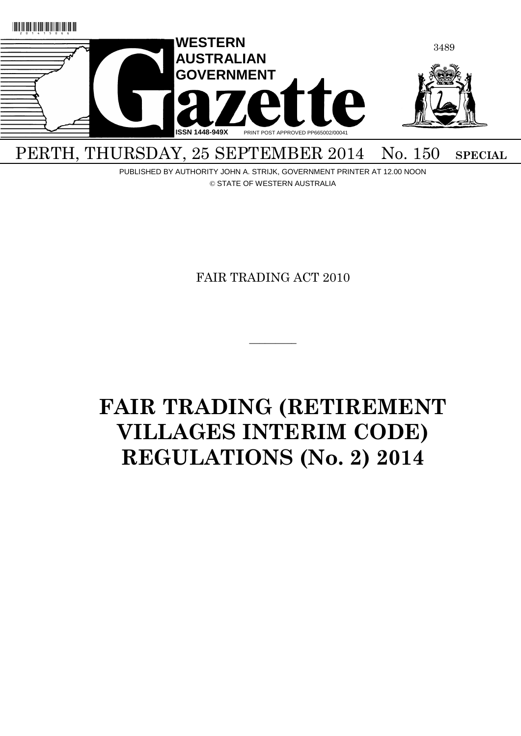

PUBLISHED BY AUTHORITY JOHN A. STRIJK, GOVERNMENT PRINTER AT 12.00 NOON

© STATE OF WESTERN AUSTRALIA

FAIR TRADING ACT 2010

 $\overline{\phantom{a}}$ 

# **FAIR TRADING (RETIREMENT VILLAGES INTERIM CODE) REGULATIONS (No. 2) 2014**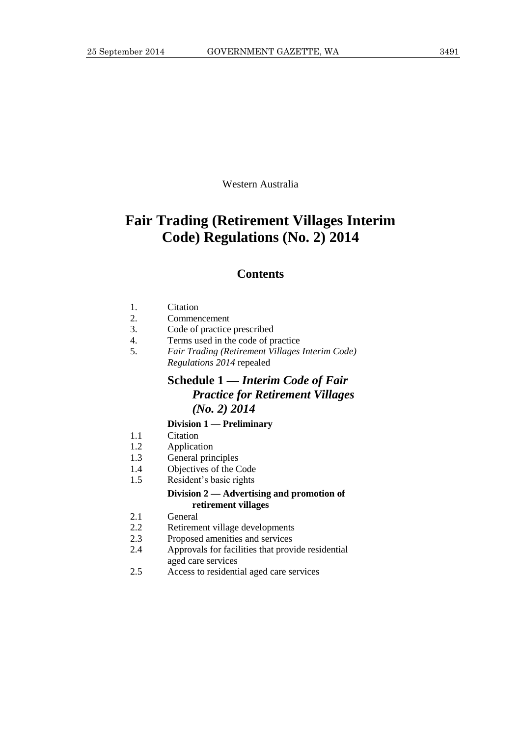Western Australia

# **Fair Trading (Retirement Villages Interim Code) Regulations (No. 2) 2014**

#### **Contents**

- 2. Commencement
- 3. Code of practice prescribed
- 4. Terms used in the code of practice
- 5. *Fair Trading (Retirement Villages Interim Code) Regulations 2014* repealed

# **Schedule 1 —** *Interim Code of Fair Practice for Retirement Villages (No. 2) 2014*

#### **Division 1 — Preliminary**

- 1.1 Citation
- 1.2 Application
- 1.3 General principles
- 1.4 Objectives of the Code
- 1.5 Resident's basic rights

#### **Division 2 — Advertising and promotion of retirement villages**

- 2.1 General
- 2.2 Retirement village developments
- 2.3 Proposed amenities and services
- 2.4 Approvals for facilities that provide residential aged care services
- 2.5 Access to residential aged care services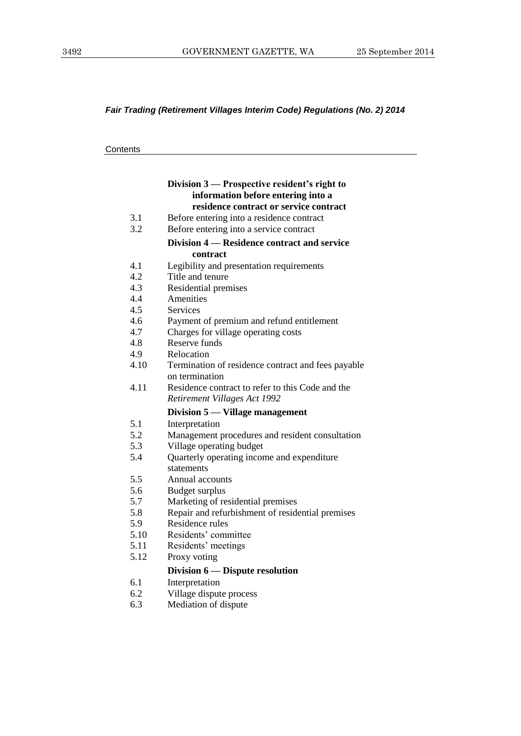## *Fair Trading (Retirement Villages Interim Code) Regulations (No. 2) 2014*

| Contents |
|----------|
|----------|

|      | Division 3 — Prospective resident's right to       |
|------|----------------------------------------------------|
|      | information before entering into a                 |
|      | residence contract or service contract             |
| 3.1  | Before entering into a residence contract          |
| 3.2  | Before entering into a service contract            |
|      | Division 4 – Residence contract and service        |
|      | contract                                           |
| 4.1  | Legibility and presentation requirements           |
| 4.2  | Title and tenure                                   |
| 4.3  | Residential premises                               |
| 4.4  | Amenities                                          |
| 4.5  | <b>Services</b>                                    |
| 4.6  | Payment of premium and refund entitlement          |
| 4.7  | Charges for village operating costs                |
| 4.8  | Reserve funds                                      |
| 4.9  | Relocation                                         |
| 4.10 | Termination of residence contract and fees payable |
|      | on termination                                     |
| 4.11 | Residence contract to refer to this Code and the   |
|      | Retirement Villages Act 1992                       |
|      | Division 5 — Village management                    |
| 5.1  | Interpretation                                     |
| 5.2  | Management procedures and resident consultation    |
| 5.3  | Village operating budget                           |
| 5.4  | Quarterly operating income and expenditure         |
|      | statements                                         |
| 5.5  | Annual accounts                                    |
| 5.6  | Budget surplus                                     |
| 5.7  | Marketing of residential premises                  |
| 5.8  | Repair and refurbishment of residential premises   |
| 5.9  | Residence rules                                    |
| 5.10 | Residents' committee                               |
| 5.11 | Residents' meetings                                |
| 5.12 | Proxy voting                                       |
|      | Division 6 — Dispute resolution                    |
| 6.1  | Interpretation                                     |
| 6.2  | Village dispute process                            |
| 6.3  | Mediation of dispute                               |
|      |                                                    |
|      |                                                    |
|      |                                                    |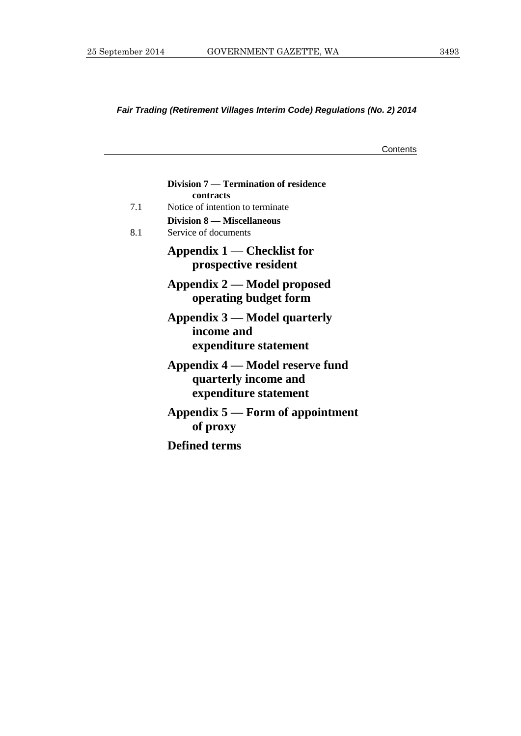## *Fair Trading (Retirement Villages Interim Code) Regulations (No. 2) 2014*

**Contents** 

|     | Division 7 — Termination of residence<br>contracts                               |
|-----|----------------------------------------------------------------------------------|
| 7.1 | Notice of intention to terminate                                                 |
| 8.1 | <b>Division 8 – Miscellaneous</b><br>Service of documents                        |
|     | Appendix 1 — Checklist for<br>prospective resident                               |
|     | Appendix 2 — Model proposed<br>operating budget form                             |
|     | Appendix 3 — Model quarterly<br>income and<br>expenditure statement              |
|     | Appendix 4 — Model reserve fund<br>quarterly income and<br>expenditure statement |
|     | Appendix $5$ — Form of appointment<br>of proxy                                   |
|     | <b>Defined terms</b>                                                             |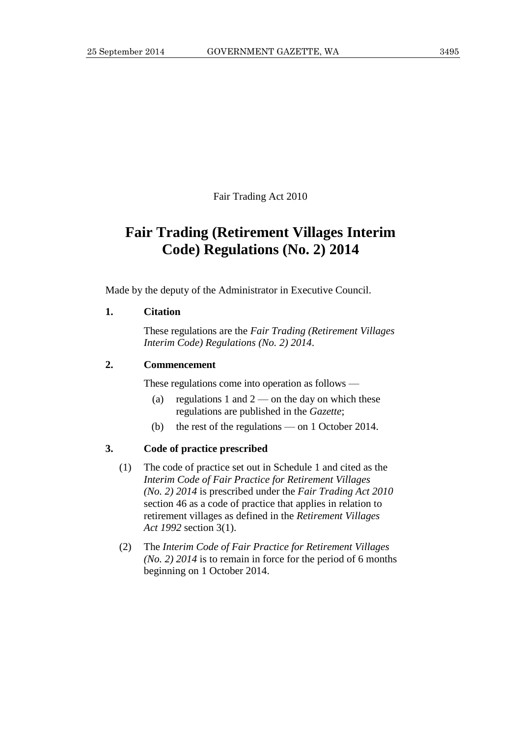Fair Trading Act 2010

# **Fair Trading (Retirement Villages Interim Code) Regulations (No. 2) 2014**

Made by the deputy of the Administrator in Executive Council.

#### <span id="page-6-0"></span>**1. Citation**

These regulations are the *Fair Trading (Retirement Villages Interim Code) Regulations (No. 2) 2014*.

#### <span id="page-6-1"></span>**2. Commencement**

These regulations come into operation as follows —

- (a) regulations [1](#page-6-0) and  $2$  on the day on which these regulations are published in the *Gazette*;
- (b) the rest of the regulations on 1 October 2014.

#### **3. Code of practice prescribed**

- <span id="page-6-2"></span>(1) The code of practice set out in Schedule [1](#page-8-0) and cited as the *Interim Code of Fair Practice for Retirement Villages (No. 2) 2014* is prescribed under the *Fair Trading Act 2010* section 46 as a code of practice that applies in relation to retirement villages as defined in the *Retirement Villages Act 1992* section 3(1).
- (2) The *Interim Code of Fair Practice for Retirement Villages (No. 2) 2014* is to remain in force for the period of 6 months beginning on 1 October 2014.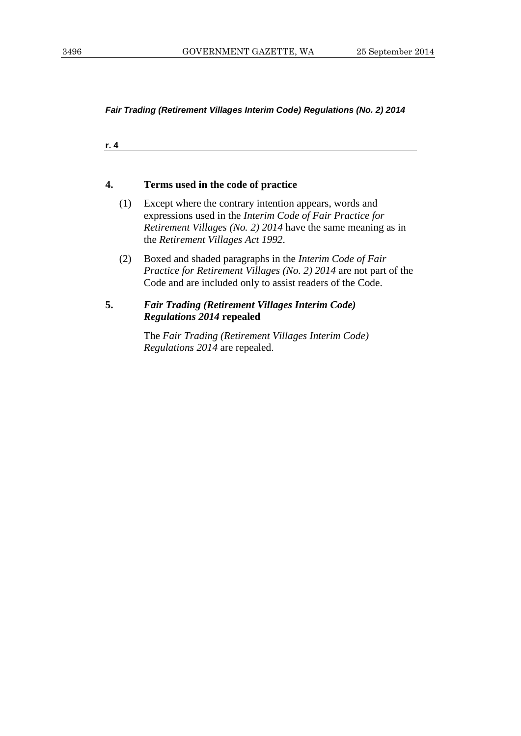*Fair Trading (Retirement Villages Interim Code) Regulations (No. 2) 2014*

**r. 4**

#### **4. Terms used in the code of practice**

- (1) Except where the contrary intention appears, words and expressions used in the *Interim Code of Fair Practice for Retirement Villages (No. 2) 2014* have the same meaning as in the *Retirement Villages Act 1992*.
- (2) Boxed and shaded paragraphs in the *Interim Code of Fair Practice for Retirement Villages (No. 2) 2014* are not part of the Code and are included only to assist readers of the Code.

#### **5.** *Fair Trading (Retirement Villages Interim Code) Regulations 2014* **repealed**

The *Fair Trading (Retirement Villages Interim Code) Regulations 2014* are repealed.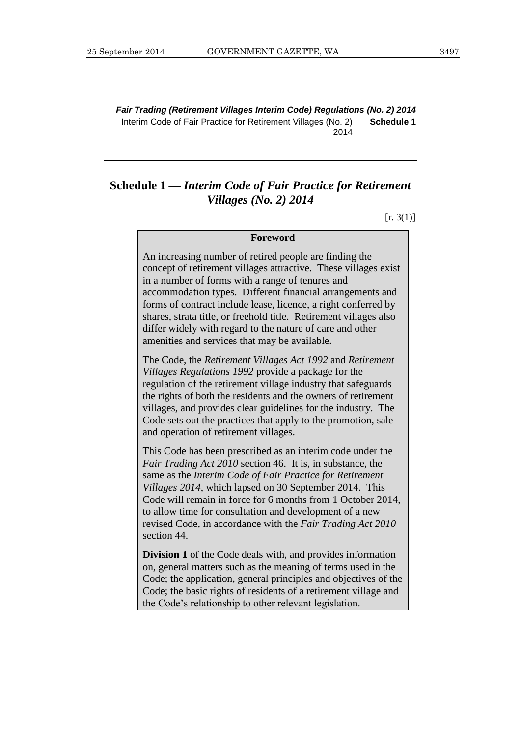*Fair Trading (Retirement Villages Interim Code) Regulations (No. 2) 2014* Interim Code of Fair Practice for Retirement Villages (No. 2) 2014 **Schedule 1**

## <span id="page-8-0"></span>**Schedule 1 —** *Interim Code of Fair Practice for Retirement Villages (No. 2) 2014*

 $[r. 3(1)]$  $[r. 3(1)]$ 

#### **Foreword**

An increasing number of retired people are finding the concept of retirement villages attractive. These villages exist in a number of forms with a range of tenures and accommodation types. Different financial arrangements and forms of contract include lease, licence, a right conferred by shares, strata title, or freehold title. Retirement villages also differ widely with regard to the nature of care and other amenities and services that may be available.

The Code, the *Retirement Villages Act 1992* and *Retirement Villages Regulations 1992* provide a package for the regulation of the retirement village industry that safeguards the rights of both the residents and the owners of retirement villages, and provides clear guidelines for the industry. The Code sets out the practices that apply to the promotion, sale and operation of retirement villages.

This Code has been prescribed as an interim code under the *Fair Trading Act 2010* section 46. It is, in substance, the same as the *Interim Code of Fair Practice for Retirement Villages 2014*, which lapsed on 30 September 2014. This Code will remain in force for 6 months from 1 October 2014, to allow time for consultation and development of a new revised Code, in accordance with the *Fair Trading Act 2010* section 44.

**Division 1** of the Code deals with, and provides information on, general matters such as the meaning of terms used in the Code; the application, general principles and objectives of the Code; the basic rights of residents of a retirement village and the Code's relationship to other relevant legislation.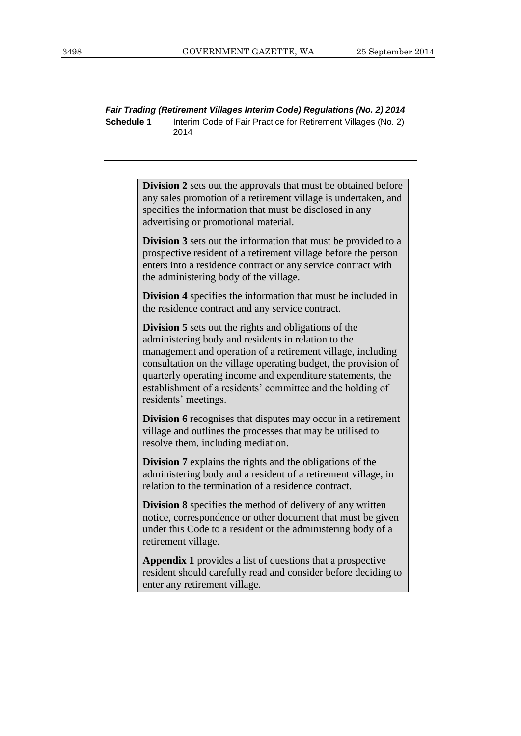*Fair Trading (Retirement Villages Interim Code) Regulations (No. 2) 2014* **Schedule 1** Interim Code of Fair Practice for Retirement Villages (No. 2) 2014

> **Division 2** sets out the approvals that must be obtained before any sales promotion of a retirement village is undertaken, and specifies the information that must be disclosed in any advertising or promotional material.

> **Division 3** sets out the information that must be provided to a prospective resident of a retirement village before the person enters into a residence contract or any service contract with the administering body of the village.

**Division 4** specifies the information that must be included in the residence contract and any service contract.

**Division 5** sets out the rights and obligations of the administering body and residents in relation to the management and operation of a retirement village, including consultation on the village operating budget, the provision of quarterly operating income and expenditure statements, the establishment of a residents' committee and the holding of residents' meetings.

**Division 6** recognises that disputes may occur in a retirement village and outlines the processes that may be utilised to resolve them, including mediation.

**Division 7** explains the rights and the obligations of the administering body and a resident of a retirement village, in relation to the termination of a residence contract.

**Division 8** specifies the method of delivery of any written notice, correspondence or other document that must be given under this Code to a resident or the administering body of a retirement village.

**Appendix 1** provides a list of questions that a prospective resident should carefully read and consider before deciding to enter any retirement village.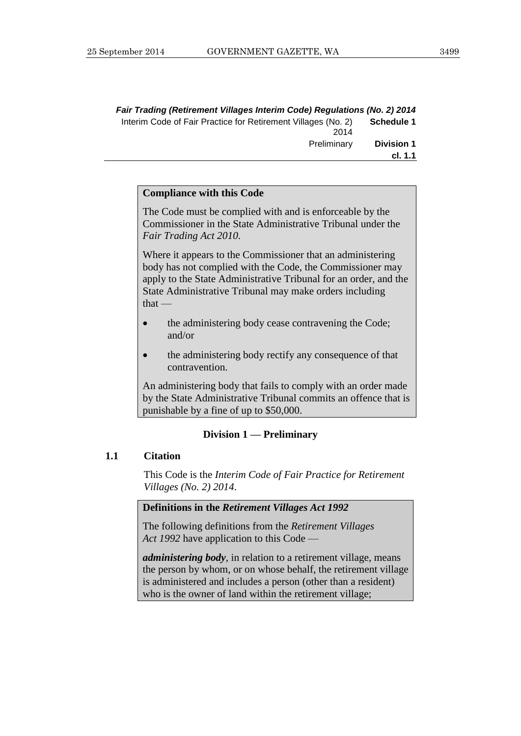| Fair Trading (Retirement Villages Interim Code) Regulations (No. 2) 2014 |                   |
|--------------------------------------------------------------------------|-------------------|
| Interim Code of Fair Practice for Retirement Villages (No. 2)<br>2014    | Schedule 1        |
| Preliminary                                                              | <b>Division 1</b> |
|                                                                          | cl. 1.1           |

#### **Compliance with this Code**

The Code must be complied with and is enforceable by the Commissioner in the State Administrative Tribunal under the *Fair Trading Act 2010*.

Where it appears to the Commissioner that an administering body has not complied with the Code, the Commissioner may apply to the State Administrative Tribunal for an order, and the State Administrative Tribunal may make orders including  $that -$ 

- the administering body cease contravening the Code; and/or
- the administering body rectify any consequence of that contravention.

An administering body that fails to comply with an order made by the State Administrative Tribunal commits an offence that is punishable by a fine of up to \$50,000.

#### **Division 1 — Preliminary**

#### **1.1 Citation**

This Code is the *Interim Code of Fair Practice for Retirement Villages (No. 2) 2014*.

#### **Definitions in the** *Retirement Villages Act 1992*

The following definitions from the *Retirement Villages Act 1992* have application to this Code —

*administering body*, in relation to a retirement village, means the person by whom, or on whose behalf, the retirement village is administered and includes a person (other than a resident) who is the owner of land within the retirement village;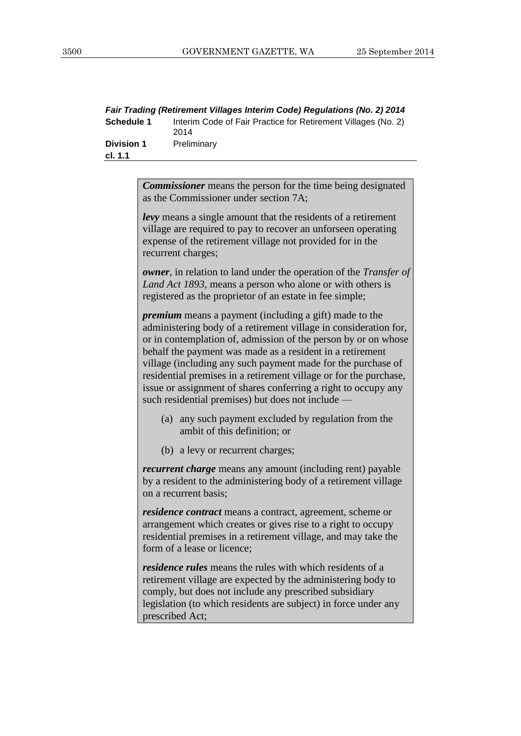|                   | Fair Trading (Retirement Villages Interim Code) Regulations (No. 2) 2014 |
|-------------------|--------------------------------------------------------------------------|
| <b>Schedule 1</b> | Interim Code of Fair Practice for Retirement Villages (No. 2)<br>2014    |
| <b>Division 1</b> | Preliminary                                                              |
| cl. 1.1           |                                                                          |
|                   |                                                                          |

*Commissioner* means the person for the time being designated as the Commissioner under section 7A;

*levy* means a single amount that the residents of a retirement village are required to pay to recover an unforseen operating expense of the retirement village not provided for in the recurrent charges;

*owner*, in relation to land under the operation of the *Transfer of Land Act 1893*, means a person who alone or with others is registered as the proprietor of an estate in fee simple;

*premium* means a payment (including a gift) made to the administering body of a retirement village in consideration for, or in contemplation of, admission of the person by or on whose behalf the payment was made as a resident in a retirement village (including any such payment made for the purchase of residential premises in a retirement village or for the purchase, issue or assignment of shares conferring a right to occupy any such residential premises) but does not include —

- (a) any such payment excluded by regulation from the ambit of this definition; or
- (b) a levy or recurrent charges;

*recurrent charge* means any amount (including rent) payable by a resident to the administering body of a retirement village on a recurrent basis;

*residence contract* means a contract, agreement, scheme or arrangement which creates or gives rise to a right to occupy residential premises in a retirement village, and may take the form of a lease or licence;

*residence rules* means the rules with which residents of a retirement village are expected by the administering body to comply, but does not include any prescribed subsidiary legislation (to which residents are subject) in force under any prescribed Act;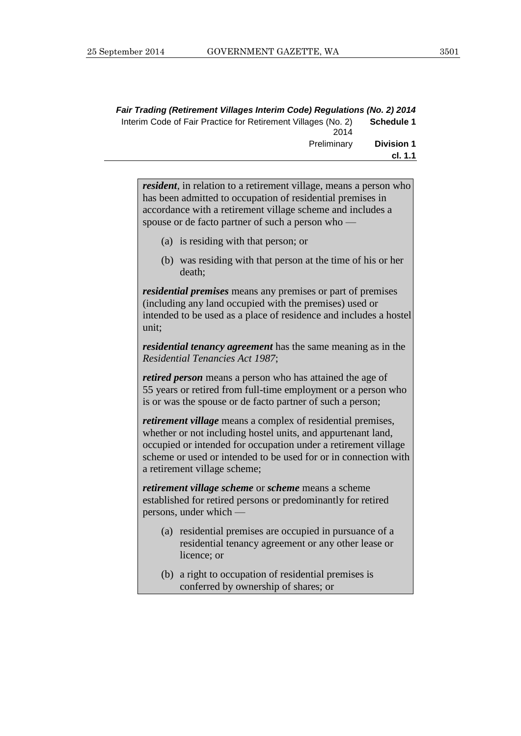| Fair Trading (Retirement Villages Interim Code) Regulations (No. 2) 2014 |                              |
|--------------------------------------------------------------------------|------------------------------|
| Interim Code of Fair Practice for Retirement Villages (No. 2)<br>2014    | <b>Schedule 1</b>            |
| Preliminary                                                              | <b>Division 1</b><br>cl. 1.1 |

*resident*, in relation to a retirement village, means a person who has been admitted to occupation of residential premises in accordance with a retirement village scheme and includes a spouse or de facto partner of such a person who —

- (a) is residing with that person; or
- (b) was residing with that person at the time of his or her death;

*residential premises* means any premises or part of premises (including any land occupied with the premises) used or intended to be used as a place of residence and includes a hostel unit;

*residential tenancy agreement* has the same meaning as in the *Residential Tenancies Act 1987*;

*retired person* means a person who has attained the age of 55 years or retired from full-time employment or a person who is or was the spouse or de facto partner of such a person;

*retirement village* means a complex of residential premises, whether or not including hostel units, and appurtenant land, occupied or intended for occupation under a retirement village scheme or used or intended to be used for or in connection with a retirement village scheme;

*retirement village scheme* or *scheme* means a scheme established for retired persons or predominantly for retired persons, under which —

- (a) residential premises are occupied in pursuance of a residential tenancy agreement or any other lease or licence; or
- (b) a right to occupation of residential premises is conferred by ownership of shares; or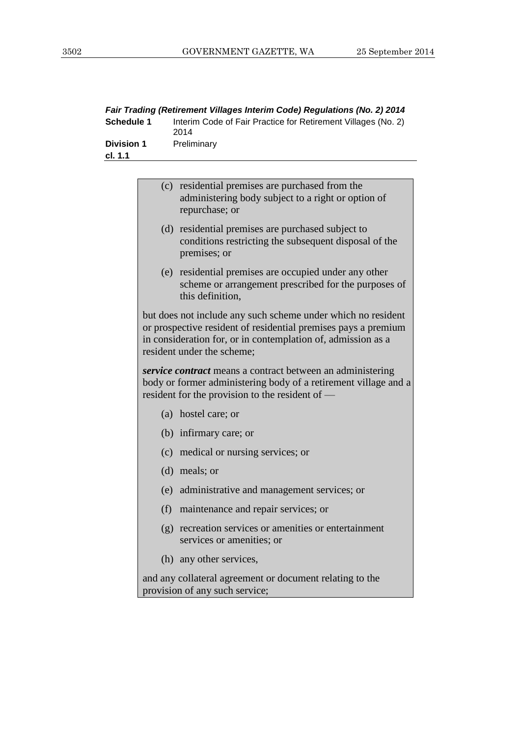|                              | Fair Trading (Retirement Villages Interim Code) Regulations (No. 2) 2014 |
|------------------------------|--------------------------------------------------------------------------|
| <b>Schedule 1</b>            | Interim Code of Fair Practice for Retirement Villages (No. 2)<br>2014    |
| <b>Division 1</b><br>cl. 1.1 | Preliminary                                                              |
|                              |                                                                          |

| (c) residential premises are purchased from the<br>administering body subject to a right or option of<br>repurchase; or                                                                                                      |
|------------------------------------------------------------------------------------------------------------------------------------------------------------------------------------------------------------------------------|
| (d) residential premises are purchased subject to<br>conditions restricting the subsequent disposal of the<br>premises; or                                                                                                   |
| (e) residential premises are occupied under any other<br>scheme or arrangement prescribed for the purposes of<br>this definition.                                                                                            |
| but does not include any such scheme under which no resident<br>or prospective resident of residential premises pays a premium<br>in consideration for, or in contemplation of, admission as a<br>resident under the scheme; |
| service contract means a contract between an administering<br>body or former administering body of a retirement village and a<br>resident for the provision to the resident of —                                             |
| (a) hostel care; or                                                                                                                                                                                                          |
| (b) infirmary care; or                                                                                                                                                                                                       |
| (c) medical or nursing services; or                                                                                                                                                                                          |
| $(d)$ meals; or                                                                                                                                                                                                              |
| (e) administrative and management services; or                                                                                                                                                                               |
| (f) maintenance and repair services; or                                                                                                                                                                                      |
| (g) recreation services or amenities or entertainment<br>services or amenities; or                                                                                                                                           |
| (h) any other services,                                                                                                                                                                                                      |
| and any collateral agreement or document relating to the<br>provision of any such service;                                                                                                                                   |
|                                                                                                                                                                                                                              |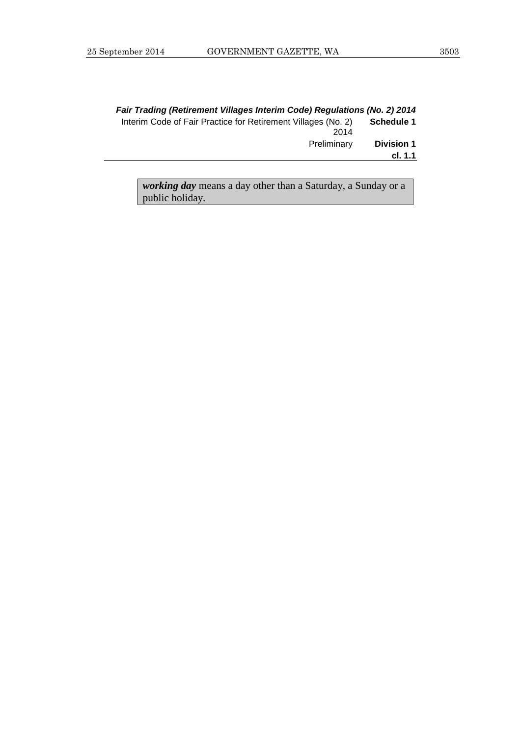|                              | Fair Trading (Retirement Villages Interim Code) Regulations (No. 2) 2014 |
|------------------------------|--------------------------------------------------------------------------|
| <b>Schedule 1</b>            | Interim Code of Fair Practice for Retirement Villages (No. 2)<br>2014    |
| <b>Division 1</b><br>cl. 1.1 | Preliminary                                                              |
|                              |                                                                          |

*working day* means a day other than a Saturday, a Sunday or a public holiday.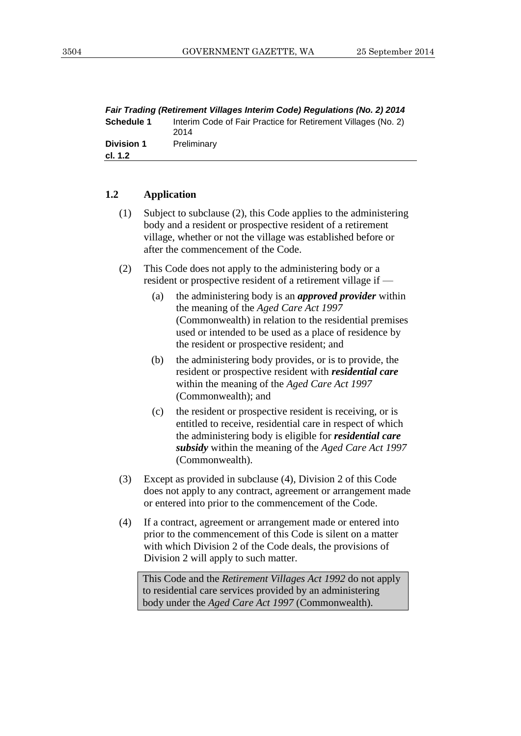| Fair Trading (Retirement Villages Interim Code) Regulations (No. 2) 2014 |                                                                       |
|--------------------------------------------------------------------------|-----------------------------------------------------------------------|
| <b>Schedule 1</b>                                                        | Interim Code of Fair Practice for Retirement Villages (No. 2)<br>2014 |
| <b>Division 1</b><br>cl. 1.2                                             | Preliminary                                                           |
|                                                                          |                                                                       |

#### **1.2 Application**

- (1) Subject to subclause (2), this Code applies to the administering body and a resident or prospective resident of a retirement village, whether or not the village was established before or after the commencement of the Code.
- (2) This Code does not apply to the administering body or a resident or prospective resident of a retirement village if —
	- (a) the administering body is an *approved provider* within the meaning of the *Aged Care Act 1997* (Commonwealth) in relation to the residential premises used or intended to be used as a place of residence by the resident or prospective resident; and
	- (b) the administering body provides, or is to provide, the resident or prospective resident with *residential care* within the meaning of the *Aged Care Act 1997* (Commonwealth); and
	- (c) the resident or prospective resident is receiving, or is entitled to receive, residential care in respect of which the administering body is eligible for *residential care subsidy* within the meaning of the *Aged Care Act 1997* (Commonwealth).
- (3) Except as provided in subclause (4), Division 2 of this Code does not apply to any contract, agreement or arrangement made or entered into prior to the commencement of the Code.
- (4) If a contract, agreement or arrangement made or entered into prior to the commencement of this Code is silent on a matter with which Division 2 of the Code deals, the provisions of Division 2 will apply to such matter.

This Code and the *Retirement Villages Act 1992* do not apply to residential care services provided by an administering body under the *Aged Care Act 1997* (Commonwealth).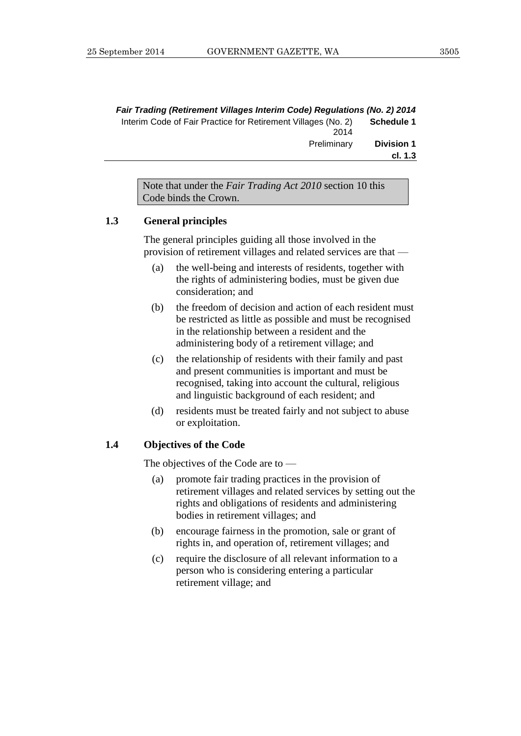|                              | Fair Trading (Retirement Villages Interim Code) Regulations (No. 2) 2014 |
|------------------------------|--------------------------------------------------------------------------|
| <b>Schedule 1</b>            | Interim Code of Fair Practice for Retirement Villages (No. 2)<br>2014    |
| <b>Division 1</b><br>cl. 1.3 | Preliminary                                                              |
|                              |                                                                          |

Note that under the *Fair Trading Act 2010* section 10 this Code binds the Crown.

#### **1.3 General principles**

The general principles guiding all those involved in the provision of retirement villages and related services are that —

- (a) the well-being and interests of residents, together with the rights of administering bodies, must be given due consideration; and
- (b) the freedom of decision and action of each resident must be restricted as little as possible and must be recognised in the relationship between a resident and the administering body of a retirement village; and
- (c) the relationship of residents with their family and past and present communities is important and must be recognised, taking into account the cultural, religious and linguistic background of each resident; and
- (d) residents must be treated fairly and not subject to abuse or exploitation.

#### **1.4 Objectives of the Code**

The objectives of the Code are to —

- (a) promote fair trading practices in the provision of retirement villages and related services by setting out the rights and obligations of residents and administering bodies in retirement villages; and
- (b) encourage fairness in the promotion, sale or grant of rights in, and operation of, retirement villages; and
- (c) require the disclosure of all relevant information to a person who is considering entering a particular retirement village; and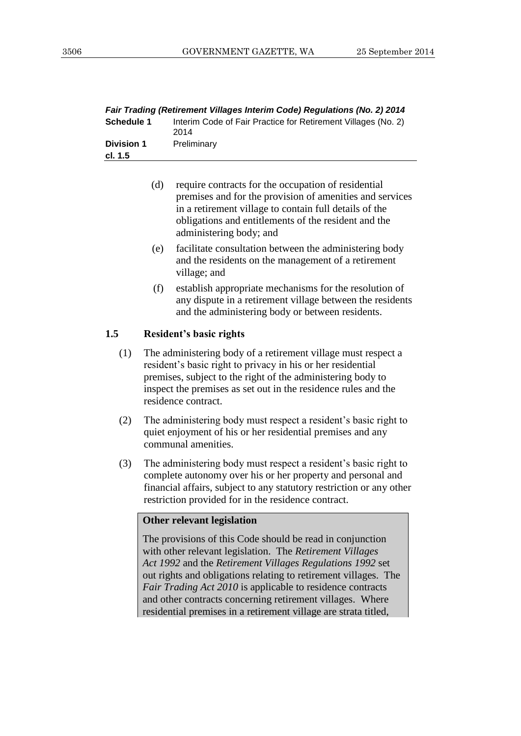| Fair Trading (Retirement Villages Interim Code) Regulations (No. 2) 2014 |                                                                       |
|--------------------------------------------------------------------------|-----------------------------------------------------------------------|
| <b>Schedule 1</b>                                                        | Interim Code of Fair Practice for Retirement Villages (No. 2)<br>2014 |
| <b>Division 1</b><br>cl. 1.5                                             | Preliminary                                                           |
|                                                                          |                                                                       |

- (d) require contracts for the occupation of residential premises and for the provision of amenities and services in a retirement village to contain full details of the obligations and entitlements of the resident and the administering body; and
- (e) facilitate consultation between the administering body and the residents on the management of a retirement village; and
- (f) establish appropriate mechanisms for the resolution of any dispute in a retirement village between the residents and the administering body or between residents.

#### **1.5 Resident's basic rights**

- (1) The administering body of a retirement village must respect a resident's basic right to privacy in his or her residential premises, subject to the right of the administering body to inspect the premises as set out in the residence rules and the residence contract.
- (2) The administering body must respect a resident's basic right to quiet enjoyment of his or her residential premises and any communal amenities.
- (3) The administering body must respect a resident's basic right to complete autonomy over his or her property and personal and financial affairs, subject to any statutory restriction or any other restriction provided for in the residence contract.

#### **Other relevant legislation**

The provisions of this Code should be read in conjunction with other relevant legislation. The *Retirement Villages Act 1992* and the *Retirement Villages Regulations 1992* set out rights and obligations relating to retirement villages. The *Fair Trading Act 2010* is applicable to residence contracts and other contracts concerning retirement villages. Where residential premises in a retirement village are strata titled,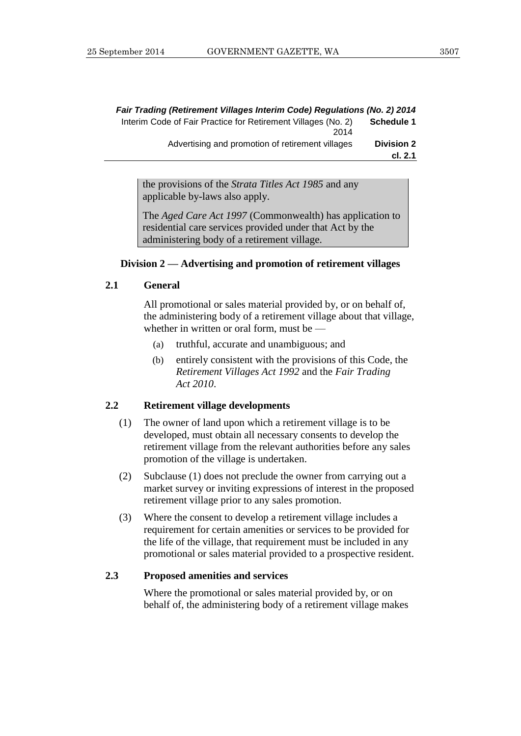|                              | Fair Trading (Retirement Villages Interim Code) Regulations (No. 2) 2014 |
|------------------------------|--------------------------------------------------------------------------|
| Schedule 1                   | Interim Code of Fair Practice for Retirement Villages (No. 2)<br>2014    |
| <b>Division 2</b><br>cl. 2.1 | Advertising and promotion of retirement villages                         |
|                              |                                                                          |

the provisions of the *Strata Titles Act 1985* and any applicable by-laws also apply.

The *Aged Care Act 1997* (Commonwealth) has application to residential care services provided under that Act by the administering body of a retirement village.

#### **Division 2 — Advertising and promotion of retirement villages**

#### **2.1 General**

All promotional or sales material provided by, or on behalf of, the administering body of a retirement village about that village, whether in written or oral form, must be —

- (a) truthful, accurate and unambiguous; and
- (b) entirely consistent with the provisions of this Code, the *Retirement Villages Act 1992* and the *Fair Trading Act 2010*.

#### **2.2 Retirement village developments**

- (1) The owner of land upon which a retirement village is to be developed, must obtain all necessary consents to develop the retirement village from the relevant authorities before any sales promotion of the village is undertaken.
- (2) Subclause (1) does not preclude the owner from carrying out a market survey or inviting expressions of interest in the proposed retirement village prior to any sales promotion.
- (3) Where the consent to develop a retirement village includes a requirement for certain amenities or services to be provided for the life of the village, that requirement must be included in any promotional or sales material provided to a prospective resident.

#### **2.3 Proposed amenities and services**

Where the promotional or sales material provided by, or on behalf of, the administering body of a retirement village makes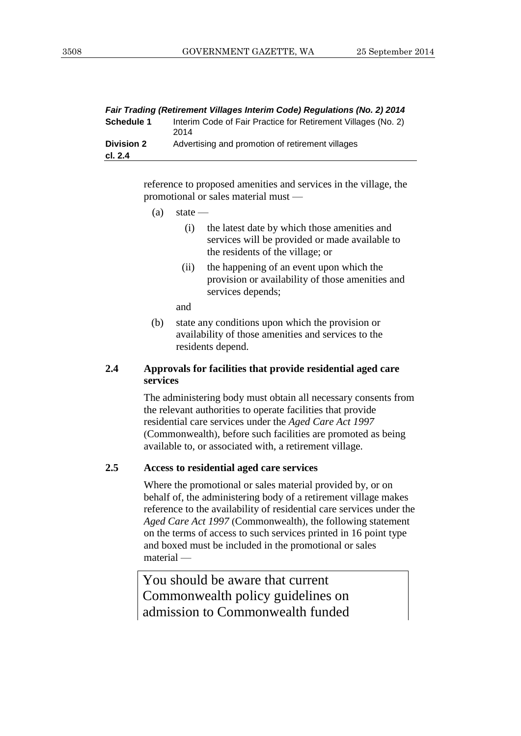|                              | Fair Trading (Retirement Villages Interim Code) Regulations (No. 2) 2014 |
|------------------------------|--------------------------------------------------------------------------|
| <b>Schedule 1</b>            | Interim Code of Fair Practice for Retirement Villages (No. 2)<br>2014    |
| <b>Division 2</b><br>cl. 2.4 | Advertising and promotion of retirement villages                         |
|                              |                                                                          |

reference to proposed amenities and services in the village, the promotional or sales material must —

- $(a)$  state
	- (i) the latest date by which those amenities and services will be provided or made available to the residents of the village; or
	- (ii) the happening of an event upon which the provision or availability of those amenities and services depends;

and

(b) state any conditions upon which the provision or availability of those amenities and services to the residents depend.

#### **2.4 Approvals for facilities that provide residential aged care services**

The administering body must obtain all necessary consents from the relevant authorities to operate facilities that provide residential care services under the *Aged Care Act 1997* (Commonwealth), before such facilities are promoted as being available to, or associated with, a retirement village.

#### **2.5 Access to residential aged care services**

Where the promotional or sales material provided by, or on behalf of, the administering body of a retirement village makes reference to the availability of residential care services under the *Aged Care Act 1997* (Commonwealth), the following statement on the terms of access to such services printed in 16 point type and boxed must be included in the promotional or sales material —

You should be aware that current Commonwealth policy guidelines on admission to Commonwealth funded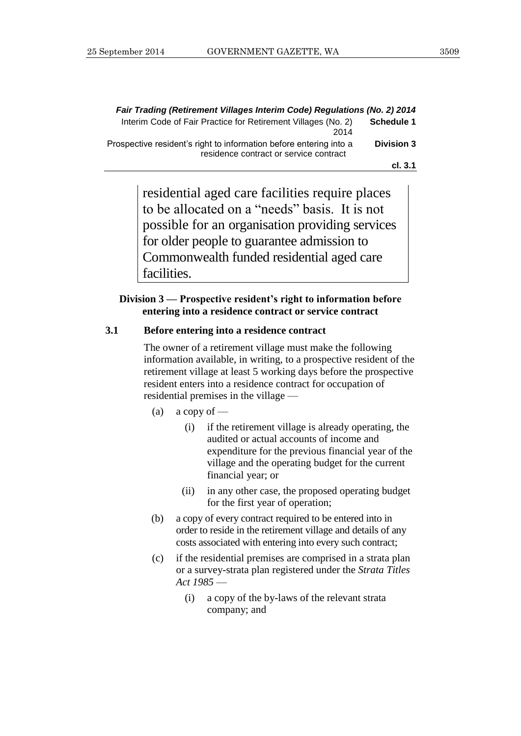|                   | Fair Trading (Retirement Villages Interim Code) Regulations (No. 2) 2014                                     |
|-------------------|--------------------------------------------------------------------------------------------------------------|
| <b>Schedule 1</b> | Interim Code of Fair Practice for Retirement Villages (No. 2)<br>2014                                        |
| <b>Division 3</b> | Prospective resident's right to information before entering into a<br>residence contract or service contract |
| cl. 3.1           |                                                                                                              |

residential aged care facilities require places to be allocated on a "needs" basis. It is not possible for an organisation providing services for older people to guarantee admission to Commonwealth funded residential aged care facilities.

#### **Division 3 — Prospective resident's right to information before entering into a residence contract or service contract**

#### **3.1 Before entering into a residence contract**

The owner of a retirement village must make the following information available, in writing, to a prospective resident of the retirement village at least 5 working days before the prospective resident enters into a residence contract for occupation of residential premises in the village —

- (a) a copy of  $-$ 
	- (i) if the retirement village is already operating, the audited or actual accounts of income and expenditure for the previous financial year of the village and the operating budget for the current financial year; or
	- (ii) in any other case, the proposed operating budget for the first year of operation;
- (b) a copy of every contract required to be entered into in order to reside in the retirement village and details of any costs associated with entering into every such contract;
- (c) if the residential premises are comprised in a strata plan or a survey-strata plan registered under the *Strata Titles Act 1985* —
	- (i) a copy of the by-laws of the relevant strata company; and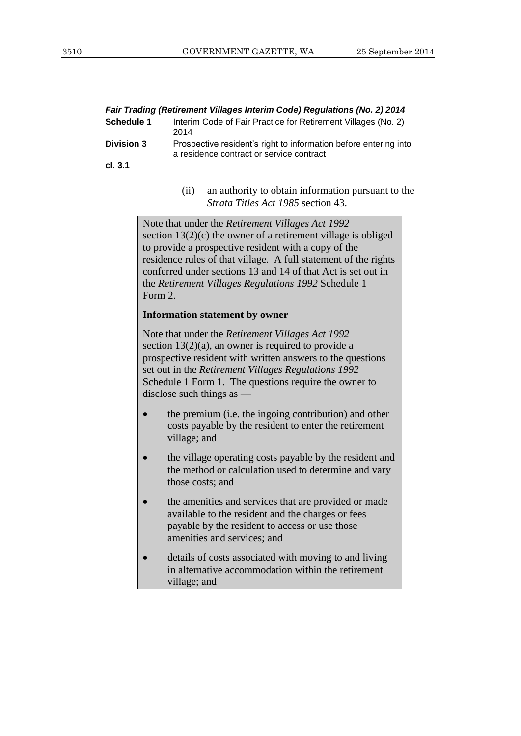| Fair Trading (Retirement Villages Interim Code) Regulations (No. 2) 2014 |                                                                                                              |  |
|--------------------------------------------------------------------------|--------------------------------------------------------------------------------------------------------------|--|
| <b>Schedule 1</b>                                                        | Interim Code of Fair Practice for Retirement Villages (No. 2)<br>2014                                        |  |
| <b>Division 3</b>                                                        | Prospective resident's right to information before entering into<br>a residence contract or service contract |  |
| cl. 3.1                                                                  |                                                                                                              |  |

(ii) an authority to obtain information pursuant to the *Strata Titles Act 1985* section 43.

Note that under the *Retirement Villages Act 1992* section 13(2)(c) the owner of a retirement village is obliged to provide a prospective resident with a copy of the residence rules of that village. A full statement of the rights conferred under sections 13 and 14 of that Act is set out in the *Retirement Villages Regulations 1992* Schedule 1 Form 2.

#### **Information statement by owner**

Note that under the *Retirement Villages Act 1992* section  $13(2)(a)$ , an owner is required to provide a prospective resident with written answers to the questions set out in the *Retirement Villages Regulations 1992*  Schedule 1 Form 1. The questions require the owner to disclose such things as —

- the premium (i.e. the ingoing contribution) and other costs payable by the resident to enter the retirement village; and
- the village operating costs payable by the resident and the method or calculation used to determine and vary those costs; and
- the amenities and services that are provided or made available to the resident and the charges or fees payable by the resident to access or use those amenities and services; and
- details of costs associated with moving to and living in alternative accommodation within the retirement village; and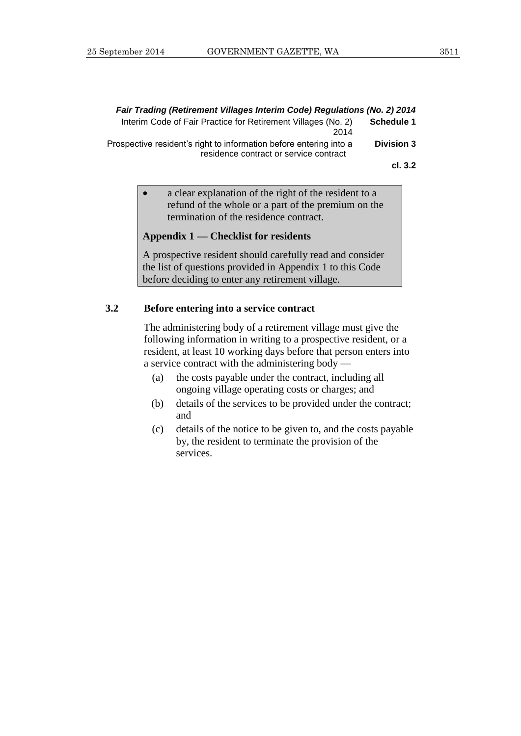| Fair Trading (Retirement Villages Interim Code) Regulations (No. 2) 2014                                     |                   |
|--------------------------------------------------------------------------------------------------------------|-------------------|
| Interim Code of Fair Practice for Retirement Villages (No. 2)<br>2014                                        | <b>Schedule 1</b> |
| Prospective resident's right to information before entering into a<br>residence contract or service contract | <b>Division 3</b> |
|                                                                                                              | cl. 3.2           |

 a clear explanation of the right of the resident to a refund of the whole or a part of the premium on the termination of the residence contract.

#### **Appendix 1 — Checklist for residents**

A prospective resident should carefully read and consider the list of questions provided in Appendix 1 to this Code before deciding to enter any retirement village.

#### **3.2 Before entering into a service contract**

The administering body of a retirement village must give the following information in writing to a prospective resident, or a resident, at least 10 working days before that person enters into a service contract with the administering body —

- (a) the costs payable under the contract, including all ongoing village operating costs or charges; and
- (b) details of the services to be provided under the contract; and
- (c) details of the notice to be given to, and the costs payable by, the resident to terminate the provision of the services.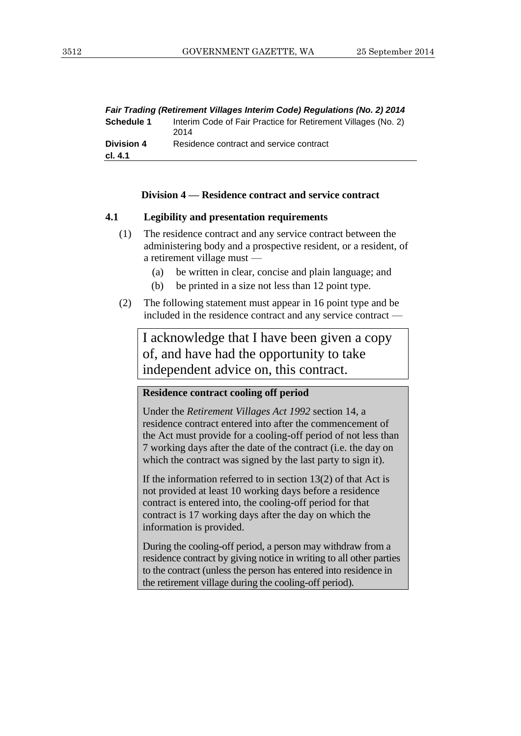|                              | Fair Trading (Retirement Villages Interim Code) Regulations (No. 2) 2014 |
|------------------------------|--------------------------------------------------------------------------|
| Schedule 1                   | Interim Code of Fair Practice for Retirement Villages (No. 2)<br>2014    |
| <b>Division 4</b><br>cl. 4.1 | Residence contract and service contract                                  |
|                              |                                                                          |

#### **Division 4 — Residence contract and service contract**

#### **4.1 Legibility and presentation requirements**

- (1) The residence contract and any service contract between the administering body and a prospective resident, or a resident, of a retirement village must —
	- (a) be written in clear, concise and plain language; and
	- (b) be printed in a size not less than 12 point type.
- (2) The following statement must appear in 16 point type and be included in the residence contract and any service contract —

I acknowledge that I have been given a copy of, and have had the opportunity to take independent advice on, this contract.

#### **Residence contract cooling off period**

Under the *Retirement Villages Act 1992* section 14, a residence contract entered into after the commencement of the Act must provide for a cooling-off period of not less than 7 working days after the date of the contract (i.e. the day on which the contract was signed by the last party to sign it).

If the information referred to in section  $13(2)$  of that Act is not provided at least 10 working days before a residence contract is entered into, the cooling-off period for that contract is 17 working days after the day on which the information is provided.

During the cooling-off period, a person may withdraw from a residence contract by giving notice in writing to all other parties to the contract (unless the person has entered into residence in the retirement village during the cooling-off period).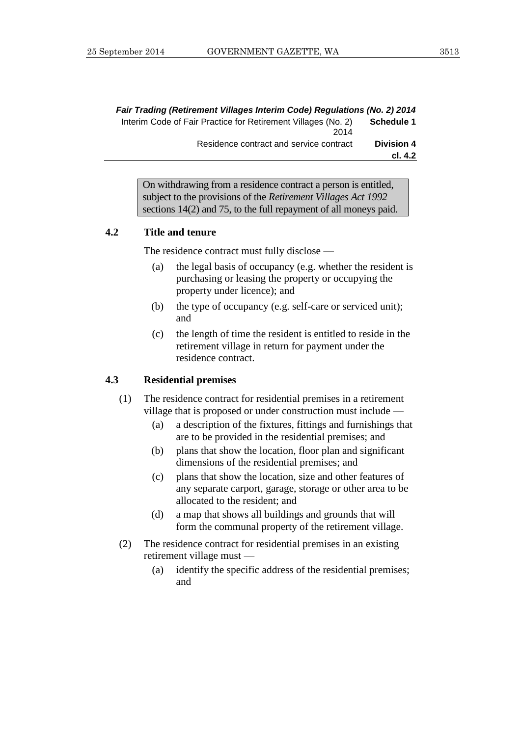| Fair Trading (Retirement Villages Interim Code) Regulations (No. 2) 2014 |                   |
|--------------------------------------------------------------------------|-------------------|
| Interim Code of Fair Practice for Retirement Villages (No. 2)            | Schedule 1        |
| 2014                                                                     |                   |
| Residence contract and service contract                                  | <b>Division 4</b> |
|                                                                          | cl. 4.2           |

On withdrawing from a residence contract a person is entitled, subject to the provisions of the *Retirement Villages Act 1992* sections 14(2) and 75, to the full repayment of all moneys paid.

#### **4.2 Title and tenure**

The residence contract must fully disclose —

- (a) the legal basis of occupancy (e.g. whether the resident is purchasing or leasing the property or occupying the property under licence); and
- (b) the type of occupancy (e.g. self-care or serviced unit); and
- (c) the length of time the resident is entitled to reside in the retirement village in return for payment under the residence contract.

#### **4.3 Residential premises**

- (1) The residence contract for residential premises in a retirement village that is proposed or under construction must include —
	- (a) a description of the fixtures, fittings and furnishings that are to be provided in the residential premises; and
	- (b) plans that show the location, floor plan and significant dimensions of the residential premises; and
	- (c) plans that show the location, size and other features of any separate carport, garage, storage or other area to be allocated to the resident; and
	- (d) a map that shows all buildings and grounds that will form the communal property of the retirement village.
- (2) The residence contract for residential premises in an existing retirement village must —
	- (a) identify the specific address of the residential premises; and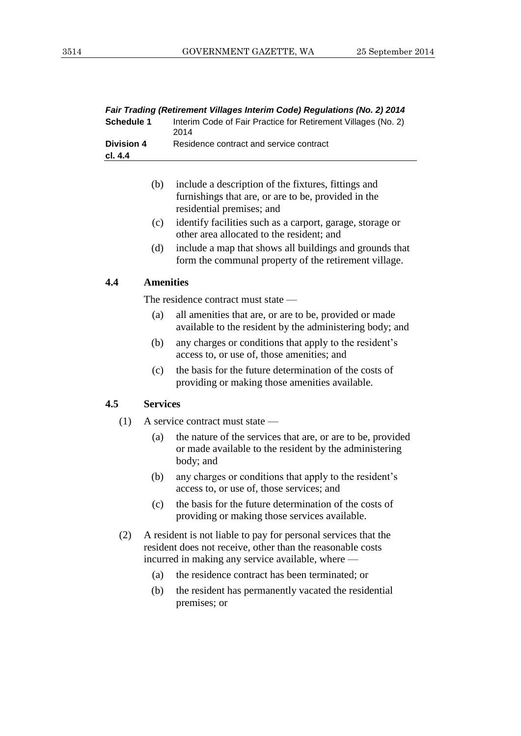| Fair Trading (Retirement Villages Interim Code) Regulations (No. 2) 2014 |                                                                       |
|--------------------------------------------------------------------------|-----------------------------------------------------------------------|
| <b>Schedule 1</b>                                                        | Interim Code of Fair Practice for Retirement Villages (No. 2)<br>2014 |
| <b>Division 4</b><br>cl. 4.4                                             | Residence contract and service contract                               |
|                                                                          |                                                                       |

| (b) | include a description of the fixtures, fittings and |
|-----|-----------------------------------------------------|
|     | furnishings that are, or are to be, provided in the |
|     | residential premises; and                           |

- (c) identify facilities such as a carport, garage, storage or other area allocated to the resident; and
- (d) include a map that shows all buildings and grounds that form the communal property of the retirement village.

#### **4.4 Amenities**

The residence contract must state —

- (a) all amenities that are, or are to be, provided or made available to the resident by the administering body; and
- (b) any charges or conditions that apply to the resident's access to, or use of, those amenities; and
- (c) the basis for the future determination of the costs of providing or making those amenities available.

#### **4.5 Services**

- (1) A service contract must state
	- (a) the nature of the services that are, or are to be, provided or made available to the resident by the administering body; and
	- (b) any charges or conditions that apply to the resident's access to, or use of, those services; and
	- (c) the basis for the future determination of the costs of providing or making those services available.
- (2) A resident is not liable to pay for personal services that the resident does not receive, other than the reasonable costs incurred in making any service available, where —
	- (a) the residence contract has been terminated; or
	- (b) the resident has permanently vacated the residential premises; or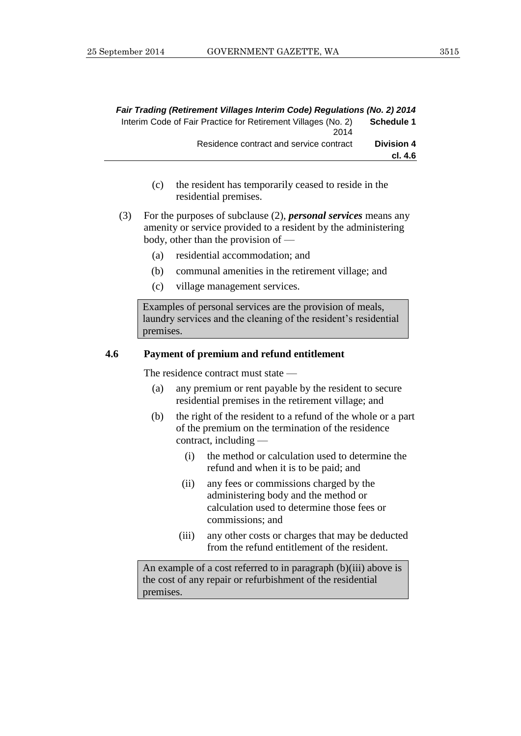|                   | Fair Trading (Retirement Villages Interim Code) Regulations (No. 2) 2014 |
|-------------------|--------------------------------------------------------------------------|
| Schedule 1        | Interim Code of Fair Practice for Retirement Villages (No. 2)            |
|                   | 2014                                                                     |
| <b>Division 4</b> | Residence contract and service contract                                  |
| cl. 4.6           |                                                                          |

- (c) the resident has temporarily ceased to reside in the residential premises.
- (3) For the purposes of subclause (2), *personal services* means any amenity or service provided to a resident by the administering body, other than the provision of —
	- (a) residential accommodation; and
	- (b) communal amenities in the retirement village; and
	- (c) village management services.

Examples of personal services are the provision of meals, laundry services and the cleaning of the resident's residential premises.

#### **4.6 Payment of premium and refund entitlement**

The residence contract must state —

- (a) any premium or rent payable by the resident to secure residential premises in the retirement village; and
- (b) the right of the resident to a refund of the whole or a part of the premium on the termination of the residence contract, including —
	- (i) the method or calculation used to determine the refund and when it is to be paid; and
	- (ii) any fees or commissions charged by the administering body and the method or calculation used to determine those fees or commissions; and
	- (iii) any other costs or charges that may be deducted from the refund entitlement of the resident.

An example of a cost referred to in paragraph (b)(iii) above is the cost of any repair or refurbishment of the residential premises.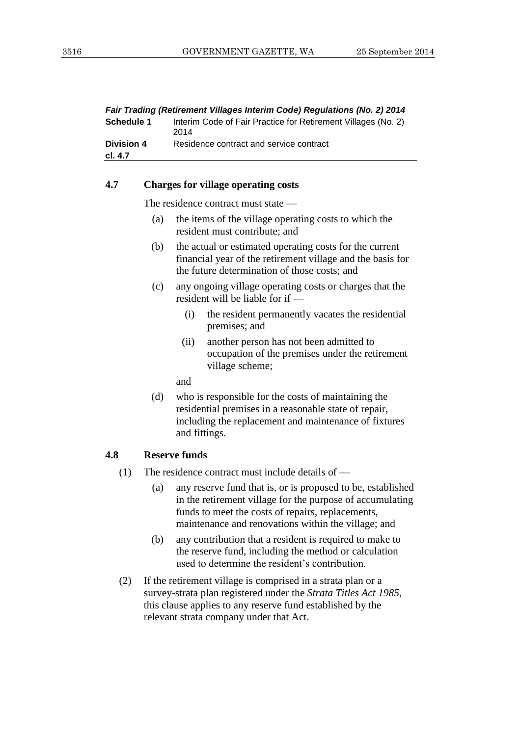| Fair Trading (Retirement Villages Interim Code) Regulations (No. 2) 2014 |                                                                       |
|--------------------------------------------------------------------------|-----------------------------------------------------------------------|
| <b>Schedule 1</b>                                                        | Interim Code of Fair Practice for Retirement Villages (No. 2)<br>2014 |
| <b>Division 4</b>                                                        | Residence contract and service contract                               |
| cl. 4.7                                                                  |                                                                       |
|                                                                          |                                                                       |

#### **4.7 Charges for village operating costs**

The residence contract must state —

- (a) the items of the village operating costs to which the resident must contribute; and
- (b) the actual or estimated operating costs for the current financial year of the retirement village and the basis for the future determination of those costs; and
- (c) any ongoing village operating costs or charges that the resident will be liable for if —
	- (i) the resident permanently vacates the residential premises; and
	- (ii) another person has not been admitted to occupation of the premises under the retirement village scheme;

and

(d) who is responsible for the costs of maintaining the residential premises in a reasonable state of repair, including the replacement and maintenance of fixtures and fittings.

#### **4.8 Reserve funds**

- (1) The residence contract must include details of
	- (a) any reserve fund that is, or is proposed to be, established in the retirement village for the purpose of accumulating funds to meet the costs of repairs, replacements, maintenance and renovations within the village; and
	- (b) any contribution that a resident is required to make to the reserve fund, including the method or calculation used to determine the resident's contribution.
- (2) If the retirement village is comprised in a strata plan or a survey-strata plan registered under the *Strata Titles Act 1985*, this clause applies to any reserve fund established by the relevant strata company under that Act.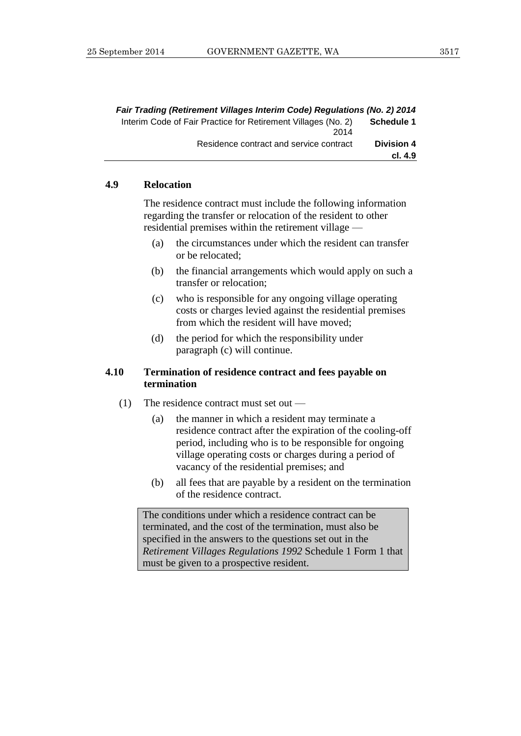| Fair Trading (Retirement Villages Interim Code) Regulations (No. 2) 2014 |                   |
|--------------------------------------------------------------------------|-------------------|
| Interim Code of Fair Practice for Retirement Villages (No. 2)<br>2014    | Schedule 1        |
| Residence contract and service contract                                  | <b>Division 4</b> |
|                                                                          | cl. 4.9           |

#### **4.9 Relocation**

The residence contract must include the following information regarding the transfer or relocation of the resident to other residential premises within the retirement village —

- (a) the circumstances under which the resident can transfer or be relocated;
- (b) the financial arrangements which would apply on such a transfer or relocation;
- (c) who is responsible for any ongoing village operating costs or charges levied against the residential premises from which the resident will have moved;
- (d) the period for which the responsibility under paragraph (c) will continue.

#### **4.10 Termination of residence contract and fees payable on termination**

- (1) The residence contract must set out
	- (a) the manner in which a resident may terminate a residence contract after the expiration of the cooling-off period, including who is to be responsible for ongoing village operating costs or charges during a period of vacancy of the residential premises; and
	- (b) all fees that are payable by a resident on the termination of the residence contract.

The conditions under which a residence contract can be terminated, and the cost of the termination, must also be specified in the answers to the questions set out in the *Retirement Villages Regulations 1992* Schedule 1 Form 1 that must be given to a prospective resident.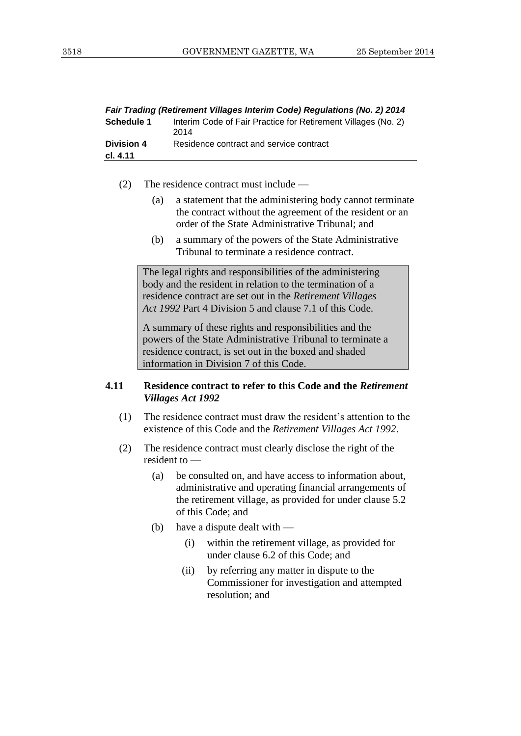| Fair Trading (Retirement Villages Interim Code) Regulations (No. 2) 2014 |                                                                       |
|--------------------------------------------------------------------------|-----------------------------------------------------------------------|
| <b>Schedule 1</b>                                                        | Interim Code of Fair Practice for Retirement Villages (No. 2)<br>2014 |
| <b>Division 4</b><br>cl. 4.11                                            | Residence contract and service contract                               |
|                                                                          |                                                                       |

- (2) The residence contract must include
	- (a) a statement that the administering body cannot terminate the contract without the agreement of the resident or an order of the State Administrative Tribunal; and
	- (b) a summary of the powers of the State Administrative Tribunal to terminate a residence contract.

The legal rights and responsibilities of the administering body and the resident in relation to the termination of a residence contract are set out in the *Retirement Villages Act 1992* Part 4 Division 5 and clause 7.1 of this Code.

A summary of these rights and responsibilities and the powers of the State Administrative Tribunal to terminate a residence contract, is set out in the boxed and shaded information in Division 7 of this Code.

#### **4.11 Residence contract to refer to this Code and the** *Retirement Villages Act 1992*

- (1) The residence contract must draw the resident's attention to the existence of this Code and the *Retirement Villages Act 1992*.
- (2) The residence contract must clearly disclose the right of the resident to —
	- (a) be consulted on, and have access to information about, administrative and operating financial arrangements of the retirement village, as provided for under clause 5.2 of this Code; and
	- (b) have a dispute dealt with
		- (i) within the retirement village, as provided for under clause 6.2 of this Code; and
		- (ii) by referring any matter in dispute to the Commissioner for investigation and attempted resolution; and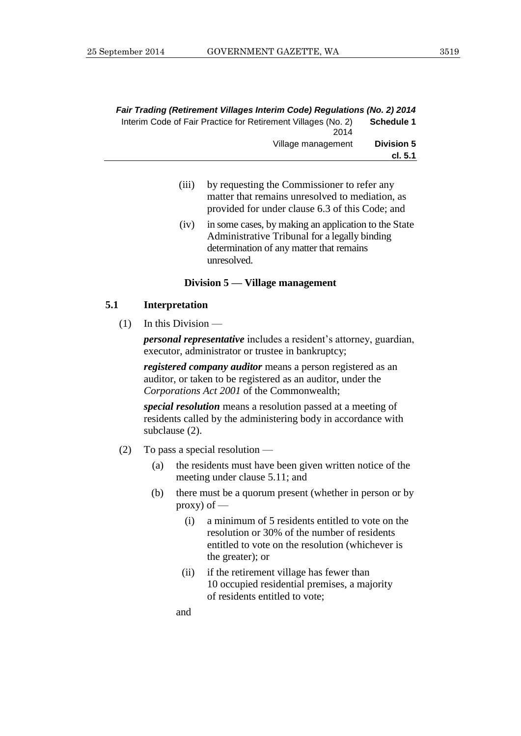|                              | Fair Trading (Retirement Villages Interim Code) Regulations (No. 2) 2014 |
|------------------------------|--------------------------------------------------------------------------|
| <b>Schedule 1</b>            | Interim Code of Fair Practice for Retirement Villages (No. 2)<br>2014    |
| <b>Division 5</b><br>cl. 5.1 | Village management                                                       |

- (iii) by requesting the Commissioner to refer any matter that remains unresolved to mediation, as provided for under clause 6.3 of this Code; and
- (iv) in some cases, by making an application to the State Administrative Tribunal for a legally binding determination of any matter that remains unresolved.

#### **Division 5 — Village management**

#### **5.1 Interpretation**

 $(1)$  In this Division —

*personal representative* includes a resident's attorney, guardian, executor, administrator or trustee in bankruptcy;

*registered company auditor* means a person registered as an auditor, or taken to be registered as an auditor, under the *Corporations Act 2001* of the Commonwealth;

*special resolution* means a resolution passed at a meeting of residents called by the administering body in accordance with subclause (2).

- (2) To pass a special resolution
	- (a) the residents must have been given written notice of the meeting under clause 5.11; and
	- (b) there must be a quorum present (whether in person or by proxy) of  $-$ 
		- (i) a minimum of 5 residents entitled to vote on the resolution or 30% of the number of residents entitled to vote on the resolution (whichever is the greater); or
		- (ii) if the retirement village has fewer than 10 occupied residential premises, a majority of residents entitled to vote;

and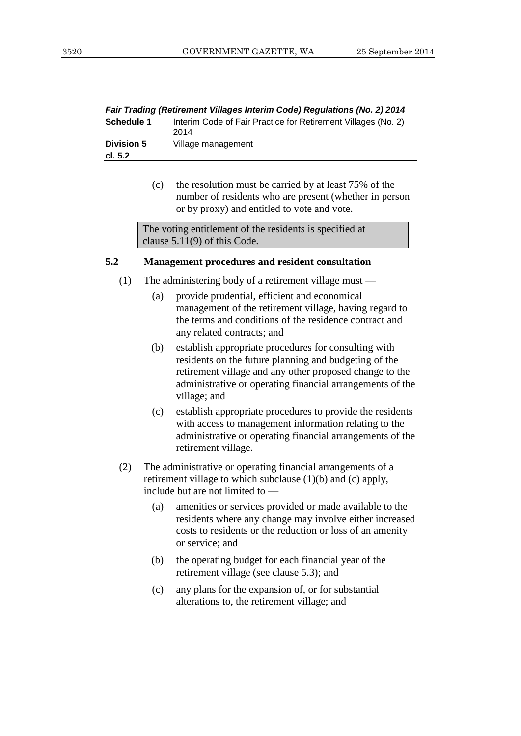| Fair Trading (Retirement Villages Interim Code) Regulations (No. 2) 2014 |                                                                       |
|--------------------------------------------------------------------------|-----------------------------------------------------------------------|
| <b>Schedule 1</b>                                                        | Interim Code of Fair Practice for Retirement Villages (No. 2)<br>2014 |
| <b>Division 5</b>                                                        | Village management                                                    |
| cl. 5.2                                                                  |                                                                       |
|                                                                          |                                                                       |

(c) the resolution must be carried by at least 75% of the number of residents who are present (whether in person or by proxy) and entitled to vote and vote.

The voting entitlement of the residents is specified at clause 5.11(9) of this Code.

#### **5.2 Management procedures and resident consultation**

- (1) The administering body of a retirement village must
	- (a) provide prudential, efficient and economical management of the retirement village, having regard to the terms and conditions of the residence contract and any related contracts; and
	- (b) establish appropriate procedures for consulting with residents on the future planning and budgeting of the retirement village and any other proposed change to the administrative or operating financial arrangements of the village; and
	- (c) establish appropriate procedures to provide the residents with access to management information relating to the administrative or operating financial arrangements of the retirement village.
- (2) The administrative or operating financial arrangements of a retirement village to which subclause (1)(b) and (c) apply, include but are not limited to —
	- (a) amenities or services provided or made available to the residents where any change may involve either increased costs to residents or the reduction or loss of an amenity or service; and
	- (b) the operating budget for each financial year of the retirement village (see clause 5.3); and
	- (c) any plans for the expansion of, or for substantial alterations to, the retirement village; and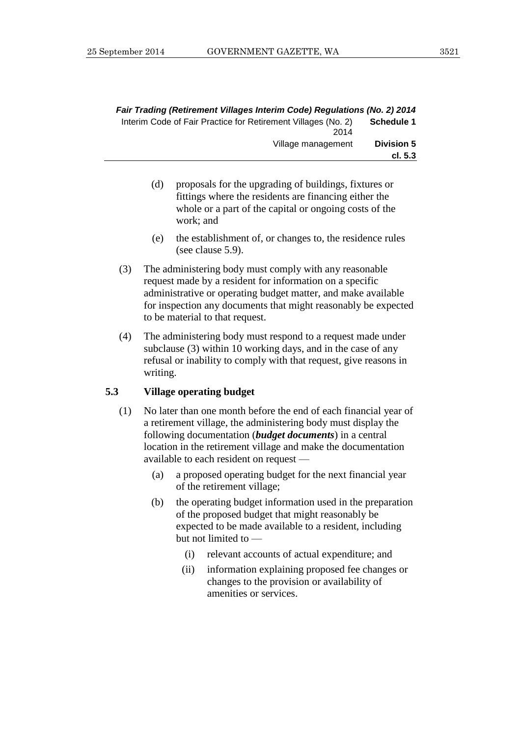|                              | Fair Trading (Retirement Villages Interim Code) Regulations (No. 2) 2014 |
|------------------------------|--------------------------------------------------------------------------|
| Schedule 1                   | Interim Code of Fair Practice for Retirement Villages (No. 2)<br>2014    |
| <b>Division 5</b><br>cl. 5.3 | Village management                                                       |

- (d) proposals for the upgrading of buildings, fixtures or fittings where the residents are financing either the whole or a part of the capital or ongoing costs of the work; and
- (e) the establishment of, or changes to, the residence rules (see clause 5.9).
- (3) The administering body must comply with any reasonable request made by a resident for information on a specific administrative or operating budget matter, and make available for inspection any documents that might reasonably be expected to be material to that request.
- (4) The administering body must respond to a request made under subclause (3) within 10 working days, and in the case of any refusal or inability to comply with that request, give reasons in writing.

#### **5.3 Village operating budget**

- (1) No later than one month before the end of each financial year of a retirement village, the administering body must display the following documentation (*budget documents*) in a central location in the retirement village and make the documentation available to each resident on request —
	- (a) a proposed operating budget for the next financial year of the retirement village;
	- (b) the operating budget information used in the preparation of the proposed budget that might reasonably be expected to be made available to a resident, including but not limited to —
		- (i) relevant accounts of actual expenditure; and
		- (ii) information explaining proposed fee changes or changes to the provision or availability of amenities or services.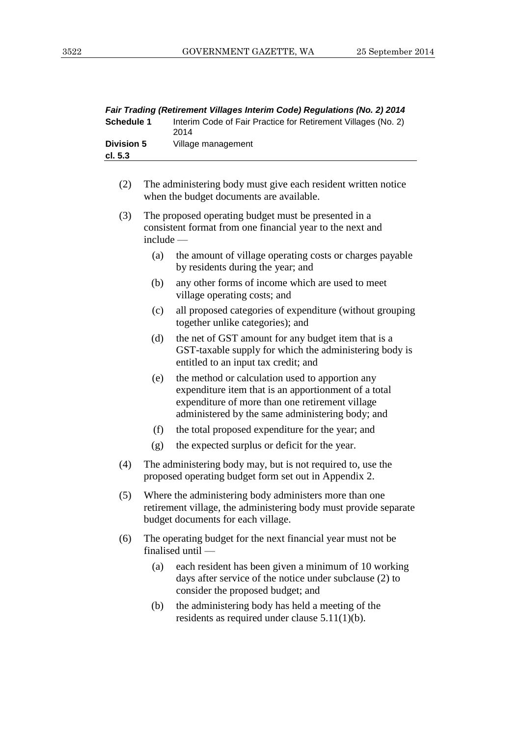*Fair Trading (Retirement Villages Interim Code) Regulations (No. 2) 2014*

| Schedule 1                   |           | Interim Code of Fair Practice for Retirement Villages (No. 2)<br>2014                                                                                                                                          |
|------------------------------|-----------|----------------------------------------------------------------------------------------------------------------------------------------------------------------------------------------------------------------|
| <b>Division 5</b><br>cl. 5.3 |           | Village management                                                                                                                                                                                             |
|                              |           |                                                                                                                                                                                                                |
| (2)                          |           | The administering body must give each resident written notice<br>when the budget documents are available.                                                                                                      |
| (3)                          | include - | The proposed operating budget must be presented in a<br>consistent format from one financial year to the next and                                                                                              |
|                              | (a)       | the amount of village operating costs or charges payable<br>by residents during the year; and                                                                                                                  |
|                              | (b)       | any other forms of income which are used to meet<br>village operating costs; and                                                                                                                               |
|                              | (c)       | all proposed categories of expenditure (without grouping<br>together unlike categories); and                                                                                                                   |
|                              | (d)       | the net of GST amount for any budget item that is a<br>GST-taxable supply for which the administering body is<br>entitled to an input tax credit; and                                                          |
|                              | (e)       | the method or calculation used to apportion any<br>expenditure item that is an apportionment of a total<br>expenditure of more than one retirement village<br>administered by the same administering body; and |
|                              | (f)       | the total proposed expenditure for the year; and                                                                                                                                                               |
|                              | (g)       | the expected surplus or deficit for the year.                                                                                                                                                                  |
| (4)                          |           | The administering body may, but is not required to, use the<br>proposed operating budget form set out in Appendix 2.                                                                                           |
| (5)                          |           | Where the administering body administers more than one<br>retirement village, the administering body must provide separate<br>budget documents for each village.                                               |
| (6)                          |           | The operating budget for the next financial year must not be<br>finalised until -                                                                                                                              |
|                              | (a)       | each resident has been given a minimum of 10 working<br>days after service of the notice under subclause (2) to<br>consider the proposed budget; and                                                           |
|                              | (b)       | the administering body has held a meeting of the<br>residents as required under clause $5.11(1)(b)$ .                                                                                                          |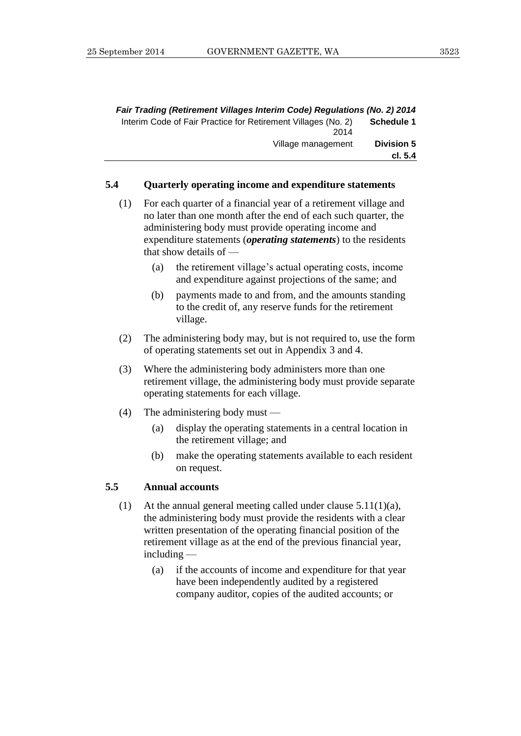| Fair Trading (Retirement Villages Interim Code) Regulations (No. 2) 2014 |                   |
|--------------------------------------------------------------------------|-------------------|
| Interim Code of Fair Practice for Retirement Villages (No. 2)<br>2014    | <b>Schedule 1</b> |
| Village management                                                       | <b>Division 5</b> |
|                                                                          | cl. 5.4           |

#### **5.4 Quarterly operating income and expenditure statements**

- (1) For each quarter of a financial year of a retirement village and no later than one month after the end of each such quarter, the administering body must provide operating income and expenditure statements (*operating statements*) to the residents that show details of —
	- (a) the retirement village's actual operating costs, income and expenditure against projections of the same; and
	- (b) payments made to and from, and the amounts standing to the credit of, any reserve funds for the retirement village.
- (2) The administering body may, but is not required to, use the form of operating statements set out in Appendix 3 and 4.
- (3) Where the administering body administers more than one retirement village, the administering body must provide separate operating statements for each village.
- (4) The administering body must
	- (a) display the operating statements in a central location in the retirement village; and
	- (b) make the operating statements available to each resident on request.

#### **5.5 Annual accounts**

- (1) At the annual general meeting called under clause 5.11(1)(a), the administering body must provide the residents with a clear written presentation of the operating financial position of the retirement village as at the end of the previous financial year, including —
	- (a) if the accounts of income and expenditure for that year have been independently audited by a registered company auditor, copies of the audited accounts; or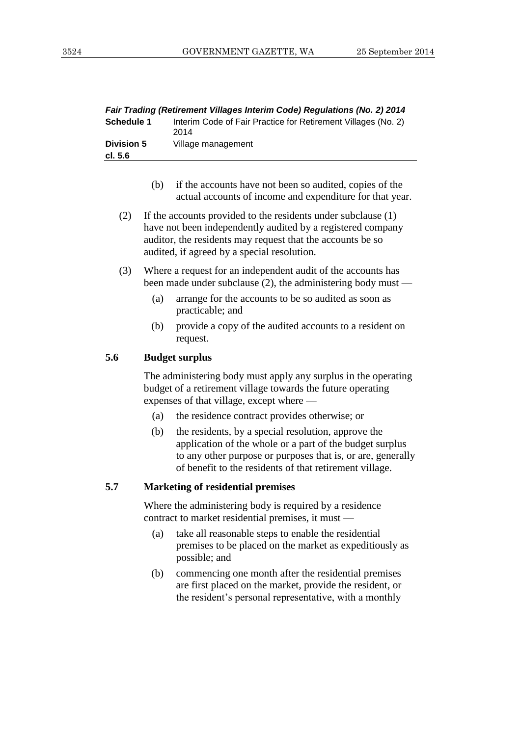|                   | Fair Trading (Retirement Villages Interim Code) Regulations (No. 2) 2014 |
|-------------------|--------------------------------------------------------------------------|
| <b>Schedule 1</b> | Interim Code of Fair Practice for Retirement Villages (No. 2)<br>2014    |
| <b>Division 5</b> | Village management                                                       |
| cl. 5.6           |                                                                          |
|                   |                                                                          |

- (b) if the accounts have not been so audited, copies of the actual accounts of income and expenditure for that year.
- (2) If the accounts provided to the residents under subclause (1) have not been independently audited by a registered company auditor, the residents may request that the accounts be so audited, if agreed by a special resolution.
- (3) Where a request for an independent audit of the accounts has been made under subclause (2), the administering body must —
	- (a) arrange for the accounts to be so audited as soon as practicable; and
	- (b) provide a copy of the audited accounts to a resident on request.

#### **5.6 Budget surplus**

The administering body must apply any surplus in the operating budget of a retirement village towards the future operating expenses of that village, except where —

- (a) the residence contract provides otherwise; or
- (b) the residents, by a special resolution, approve the application of the whole or a part of the budget surplus to any other purpose or purposes that is, or are, generally of benefit to the residents of that retirement village.

#### **5.7 Marketing of residential premises**

Where the administering body is required by a residence contract to market residential premises, it must —

- (a) take all reasonable steps to enable the residential premises to be placed on the market as expeditiously as possible; and
- (b) commencing one month after the residential premises are first placed on the market, provide the resident, or the resident's personal representative, with a monthly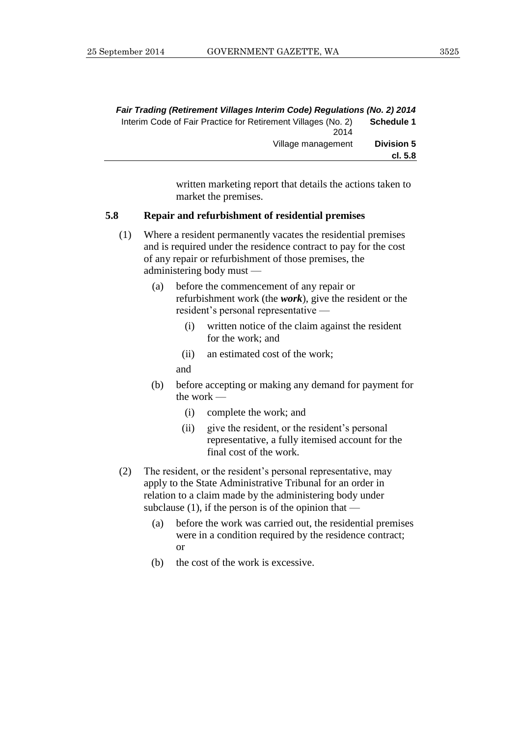| Fair Trading (Retirement Villages Interim Code) Regulations (No. 2) 2014 |                   |
|--------------------------------------------------------------------------|-------------------|
| Interim Code of Fair Practice for Retirement Villages (No. 2)            | Schedule 1        |
| 2014                                                                     |                   |
| Village management                                                       | <b>Division 5</b> |
|                                                                          | cl. 5.8           |

written marketing report that details the actions taken to market the premises.

#### **5.8 Repair and refurbishment of residential premises**

- (1) Where a resident permanently vacates the residential premises and is required under the residence contract to pay for the cost of any repair or refurbishment of those premises, the administering body must —
	- (a) before the commencement of any repair or refurbishment work (the *work*), give the resident or the resident's personal representative —
		- (i) written notice of the claim against the resident for the work; and
		- (ii) an estimated cost of the work;
		- and
	- (b) before accepting or making any demand for payment for the work —
		- (i) complete the work; and
		- (ii) give the resident, or the resident's personal representative, a fully itemised account for the final cost of the work.
- (2) The resident, or the resident's personal representative, may apply to the State Administrative Tribunal for an order in relation to a claim made by the administering body under subclause  $(1)$ , if the person is of the opinion that —
	- (a) before the work was carried out, the residential premises were in a condition required by the residence contract; or
	- (b) the cost of the work is excessive.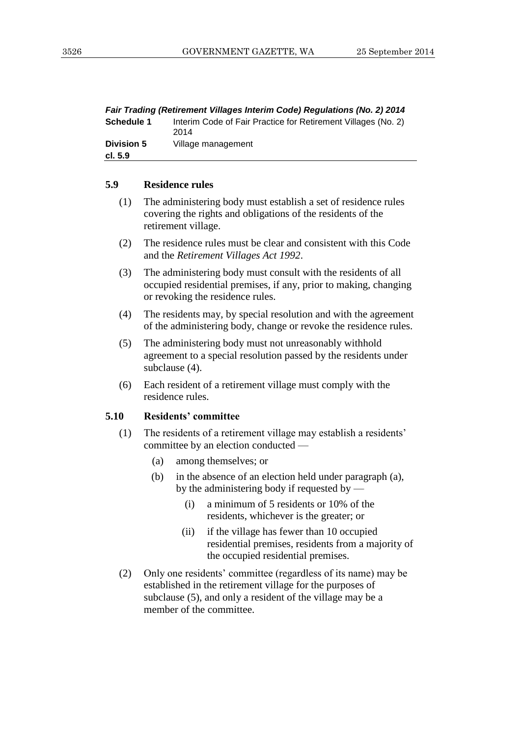|                              | Fair Trading (Retirement Villages Interim Code) Regulations (No. 2) 2014 |
|------------------------------|--------------------------------------------------------------------------|
| <b>Schedule 1</b>            | Interim Code of Fair Practice for Retirement Villages (No. 2)<br>2014    |
| <b>Division 5</b><br>cl. 5.9 | Village management                                                       |
|                              |                                                                          |

#### **5.9 Residence rules**

- (1) The administering body must establish a set of residence rules covering the rights and obligations of the residents of the retirement village.
- (2) The residence rules must be clear and consistent with this Code and the *Retirement Villages Act 1992*.
- (3) The administering body must consult with the residents of all occupied residential premises, if any, prior to making, changing or revoking the residence rules.
- (4) The residents may, by special resolution and with the agreement of the administering body, change or revoke the residence rules.
- (5) The administering body must not unreasonably withhold agreement to a special resolution passed by the residents under subclause (4).
- (6) Each resident of a retirement village must comply with the residence rules.

#### **5.10 Residents' committee**

- (1) The residents of a retirement village may establish a residents' committee by an election conducted —
	- (a) among themselves; or
	- (b) in the absence of an election held under paragraph (a), by the administering body if requested by —
		- (i) a minimum of 5 residents or 10% of the residents, whichever is the greater; or
		- (ii) if the village has fewer than 10 occupied residential premises, residents from a majority of the occupied residential premises.
- (2) Only one residents' committee (regardless of its name) may be established in the retirement village for the purposes of subclause (5), and only a resident of the village may be a member of the committee.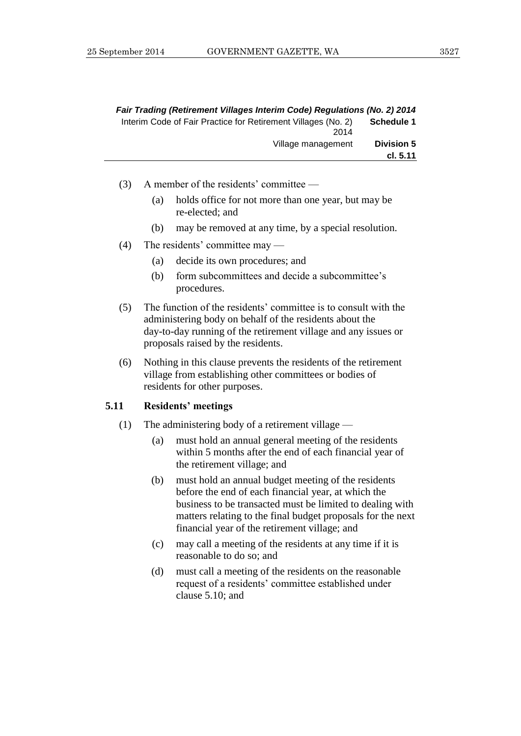|                   | Fair Trading (Retirement Villages Interim Code) Regulations (No. 2) 2014 |
|-------------------|--------------------------------------------------------------------------|
| Schedule 1        | Interim Code of Fair Practice for Retirement Villages (No. 2)<br>2014    |
| <b>Division 5</b> | Village management                                                       |
| cl. 5.11          |                                                                          |

- (3) A member of the residents' committee
	- (a) holds office for not more than one year, but may be re-elected; and
	- (b) may be removed at any time, by a special resolution.
- (4) The residents' committee may
	- (a) decide its own procedures; and
	- (b) form subcommittees and decide a subcommittee's procedures.
- (5) The function of the residents' committee is to consult with the administering body on behalf of the residents about the day-to-day running of the retirement village and any issues or proposals raised by the residents.
- (6) Nothing in this clause prevents the residents of the retirement village from establishing other committees or bodies of residents for other purposes.

#### **5.11 Residents' meetings**

- (1) The administering body of a retirement village
	- (a) must hold an annual general meeting of the residents within 5 months after the end of each financial year of the retirement village; and
	- (b) must hold an annual budget meeting of the residents before the end of each financial year, at which the business to be transacted must be limited to dealing with matters relating to the final budget proposals for the next financial year of the retirement village; and
	- (c) may call a meeting of the residents at any time if it is reasonable to do so; and
	- (d) must call a meeting of the residents on the reasonable request of a residents' committee established under clause 5.10; and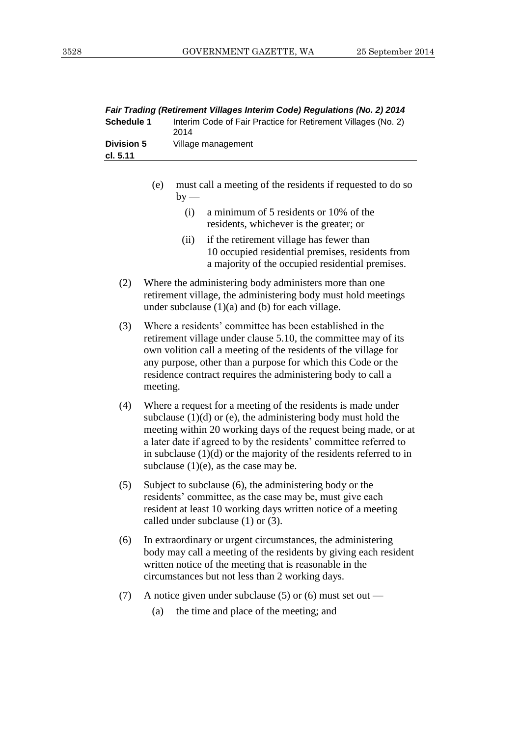|                   | Fair Trading (Retirement Villages Interim Code) Regulations (No. 2) 2014 |
|-------------------|--------------------------------------------------------------------------|
| <b>Schedule 1</b> | Interim Code of Fair Practice for Retirement Villages (No. 2)<br>2014    |
| <b>Division 5</b> | Village management                                                       |
| cl. 5.11          |                                                                          |
|                   |                                                                          |

- (e) must call a meeting of the residents if requested to do so  $by -$ 
	- (i) a minimum of 5 residents or 10% of the residents, whichever is the greater; or
	- (ii) if the retirement village has fewer than 10 occupied residential premises, residents from a majority of the occupied residential premises.
- (2) Where the administering body administers more than one retirement village, the administering body must hold meetings under subclause  $(1)(a)$  and  $(b)$  for each village.
- (3) Where a residents' committee has been established in the retirement village under clause 5.10, the committee may of its own volition call a meeting of the residents of the village for any purpose, other than a purpose for which this Code or the residence contract requires the administering body to call a meeting.
- (4) Where a request for a meeting of the residents is made under subclause  $(1)(d)$  or  $(e)$ , the administering body must hold the meeting within 20 working days of the request being made, or at a later date if agreed to by the residents' committee referred to in subclause (1)(d) or the majority of the residents referred to in subclause  $(1)(e)$ , as the case may be.
- (5) Subject to subclause (6), the administering body or the residents' committee, as the case may be, must give each resident at least 10 working days written notice of a meeting called under subclause (1) or (3).
- (6) In extraordinary or urgent circumstances, the administering body may call a meeting of the residents by giving each resident written notice of the meeting that is reasonable in the circumstances but not less than 2 working days.
- (7) A notice given under subclause (5) or (6) must set out
	- (a) the time and place of the meeting; and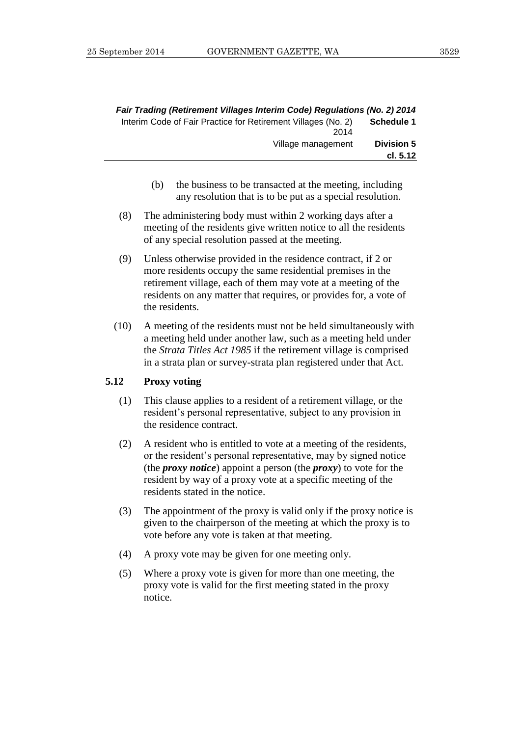|                   | Fair Trading (Retirement Villages Interim Code) Regulations (No. 2) 2014 |
|-------------------|--------------------------------------------------------------------------|
| <b>Schedule 1</b> | Interim Code of Fair Practice for Retirement Villages (No. 2)            |
| <b>Division 5</b> | 2014<br>Village management                                               |
| cl. 5.12          |                                                                          |

- (b) the business to be transacted at the meeting, including any resolution that is to be put as a special resolution.
- (8) The administering body must within 2 working days after a meeting of the residents give written notice to all the residents of any special resolution passed at the meeting.
- (9) Unless otherwise provided in the residence contract, if 2 or more residents occupy the same residential premises in the retirement village, each of them may vote at a meeting of the residents on any matter that requires, or provides for, a vote of the residents.
- (10) A meeting of the residents must not be held simultaneously with a meeting held under another law, such as a meeting held under the *Strata Titles Act 1985* if the retirement village is comprised in a strata plan or survey-strata plan registered under that Act.

#### **5.12 Proxy voting**

- (1) This clause applies to a resident of a retirement village, or the resident's personal representative, subject to any provision in the residence contract.
- (2) A resident who is entitled to vote at a meeting of the residents, or the resident's personal representative, may by signed notice (the *proxy notice*) appoint a person (the *proxy*) to vote for the resident by way of a proxy vote at a specific meeting of the residents stated in the notice.
- (3) The appointment of the proxy is valid only if the proxy notice is given to the chairperson of the meeting at which the proxy is to vote before any vote is taken at that meeting.
- (4) A proxy vote may be given for one meeting only.
- (5) Where a proxy vote is given for more than one meeting, the proxy vote is valid for the first meeting stated in the proxy notice.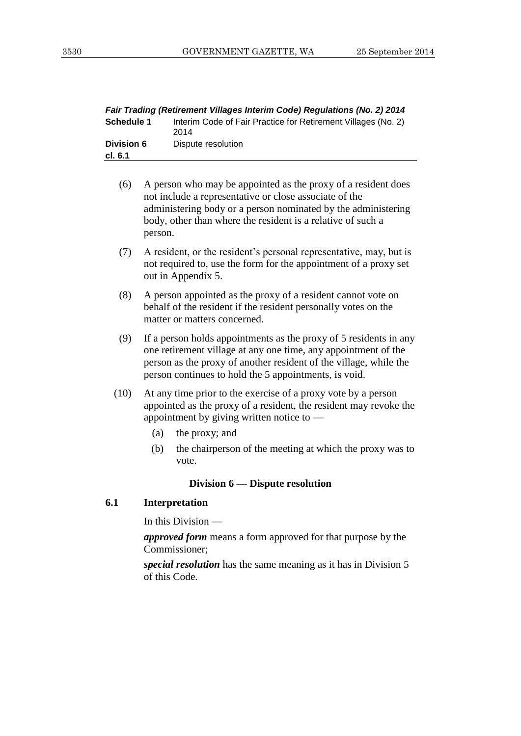| Fair Trading (Retirement Villages Interim Code) Regulations (No. 2) 2014 |                                                                       |  |
|--------------------------------------------------------------------------|-----------------------------------------------------------------------|--|
| <b>Schedule 1</b>                                                        | Interim Code of Fair Practice for Retirement Villages (No. 2)<br>2014 |  |
| <b>Division 6</b><br>cl. 6.1                                             | Dispute resolution                                                    |  |
|                                                                          |                                                                       |  |

- (6) A person who may be appointed as the proxy of a resident does not include a representative or close associate of the administering body or a person nominated by the administering body, other than where the resident is a relative of such a person.
- (7) A resident, or the resident's personal representative, may, but is not required to, use the form for the appointment of a proxy set out in Appendix 5.
- (8) A person appointed as the proxy of a resident cannot vote on behalf of the resident if the resident personally votes on the matter or matters concerned.
- (9) If a person holds appointments as the proxy of 5 residents in any one retirement village at any one time, any appointment of the person as the proxy of another resident of the village, while the person continues to hold the 5 appointments, is void.
- (10) At any time prior to the exercise of a proxy vote by a person appointed as the proxy of a resident, the resident may revoke the appointment by giving written notice to —
	- (a) the proxy; and
	- (b) the chairperson of the meeting at which the proxy was to vote.

#### **Division 6 — Dispute resolution**

#### **6.1 Interpretation**

In this Division —

*approved form* means a form approved for that purpose by the Commissioner;

*special resolution* has the same meaning as it has in Division 5 of this Code.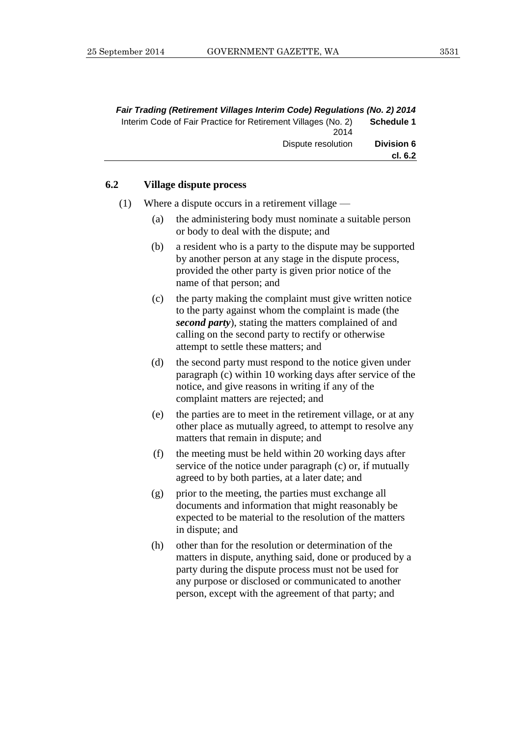| Fair Trading (Retirement Villages Interim Code) Regulations (No. 2) 2014 |                   |
|--------------------------------------------------------------------------|-------------------|
| Interim Code of Fair Practice for Retirement Villages (No. 2)<br>2014    | <b>Schedule 1</b> |
| Dispute resolution                                                       | <b>Division 6</b> |
|                                                                          | cl. 6.2           |

#### **6.2 Village dispute process**

- (1) Where a dispute occurs in a retirement village
	- (a) the administering body must nominate a suitable person or body to deal with the dispute; and
	- (b) a resident who is a party to the dispute may be supported by another person at any stage in the dispute process, provided the other party is given prior notice of the name of that person; and
	- (c) the party making the complaint must give written notice to the party against whom the complaint is made (the *second party*), stating the matters complained of and calling on the second party to rectify or otherwise attempt to settle these matters; and
	- (d) the second party must respond to the notice given under paragraph (c) within 10 working days after service of the notice, and give reasons in writing if any of the complaint matters are rejected; and
	- (e) the parties are to meet in the retirement village, or at any other place as mutually agreed, to attempt to resolve any matters that remain in dispute; and
	- (f) the meeting must be held within 20 working days after service of the notice under paragraph (c) or, if mutually agreed to by both parties, at a later date; and
	- (g) prior to the meeting, the parties must exchange all documents and information that might reasonably be expected to be material to the resolution of the matters in dispute; and
	- (h) other than for the resolution or determination of the matters in dispute, anything said, done or produced by a party during the dispute process must not be used for any purpose or disclosed or communicated to another person, except with the agreement of that party; and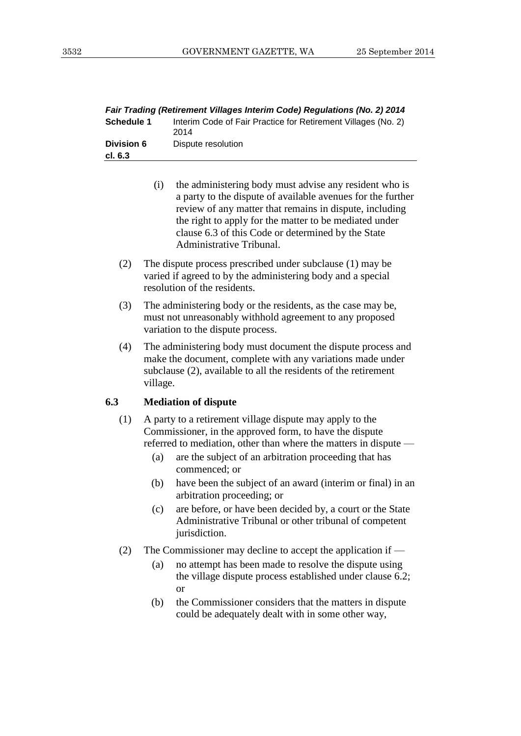| Fair Trading (Retirement Villages Interim Code) Regulations (No. 2) 2014 |                                                                       |  |
|--------------------------------------------------------------------------|-----------------------------------------------------------------------|--|
| <b>Schedule 1</b>                                                        | Interim Code of Fair Practice for Retirement Villages (No. 2)<br>2014 |  |
| <b>Division 6</b>                                                        | Dispute resolution                                                    |  |
| cl. 6.3                                                                  |                                                                       |  |
|                                                                          |                                                                       |  |

- (i) the administering body must advise any resident who is a party to the dispute of available avenues for the further review of any matter that remains in dispute, including the right to apply for the matter to be mediated under clause 6.3 of this Code or determined by the State Administrative Tribunal.
- (2) The dispute process prescribed under subclause (1) may be varied if agreed to by the administering body and a special resolution of the residents.
- (3) The administering body or the residents, as the case may be, must not unreasonably withhold agreement to any proposed variation to the dispute process.
- (4) The administering body must document the dispute process and make the document, complete with any variations made under subclause (2), available to all the residents of the retirement village.

#### **6.3 Mediation of dispute**

- (1) A party to a retirement village dispute may apply to the Commissioner, in the approved form, to have the dispute referred to mediation, other than where the matters in dispute —
	- (a) are the subject of an arbitration proceeding that has commenced; or
	- (b) have been the subject of an award (interim or final) in an arbitration proceeding; or
	- (c) are before, or have been decided by, a court or the State Administrative Tribunal or other tribunal of competent jurisdiction.
- (2) The Commissioner may decline to accept the application if
	- (a) no attempt has been made to resolve the dispute using the village dispute process established under clause 6.2; or
	- (b) the Commissioner considers that the matters in dispute could be adequately dealt with in some other way,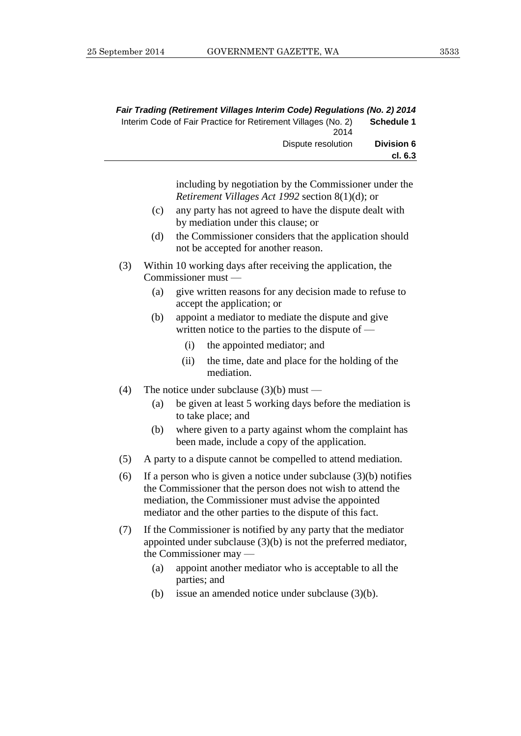| Fair Trading (Retirement Villages Interim Code) Regulations (No. 2) 2014 |                   |
|--------------------------------------------------------------------------|-------------------|
| Interim Code of Fair Practice for Retirement Villages (No. 2)<br>2014    | <b>Schedule 1</b> |
| Dispute resolution                                                       | <b>Division 6</b> |
|                                                                          | cl. 6.3           |

including by negotiation by the Commissioner under the *Retirement Villages Act 1992* section 8(1)(d); or

- (c) any party has not agreed to have the dispute dealt with by mediation under this clause; or
- (d) the Commissioner considers that the application should not be accepted for another reason.
- (3) Within 10 working days after receiving the application, the Commissioner must —
	- (a) give written reasons for any decision made to refuse to accept the application; or
	- (b) appoint a mediator to mediate the dispute and give written notice to the parties to the dispute of —
		- (i) the appointed mediator; and
		- (ii) the time, date and place for the holding of the mediation.
- (4) The notice under subclause  $(3)(b)$  must
	- (a) be given at least 5 working days before the mediation is to take place; and
	- (b) where given to a party against whom the complaint has been made, include a copy of the application.
- (5) A party to a dispute cannot be compelled to attend mediation.
- (6) If a person who is given a notice under subclause  $(3)(b)$  notifies the Commissioner that the person does not wish to attend the mediation, the Commissioner must advise the appointed mediator and the other parties to the dispute of this fact.
- (7) If the Commissioner is notified by any party that the mediator appointed under subclause (3)(b) is not the preferred mediator, the Commissioner may —
	- (a) appoint another mediator who is acceptable to all the parties; and
	- (b) issue an amended notice under subclause (3)(b).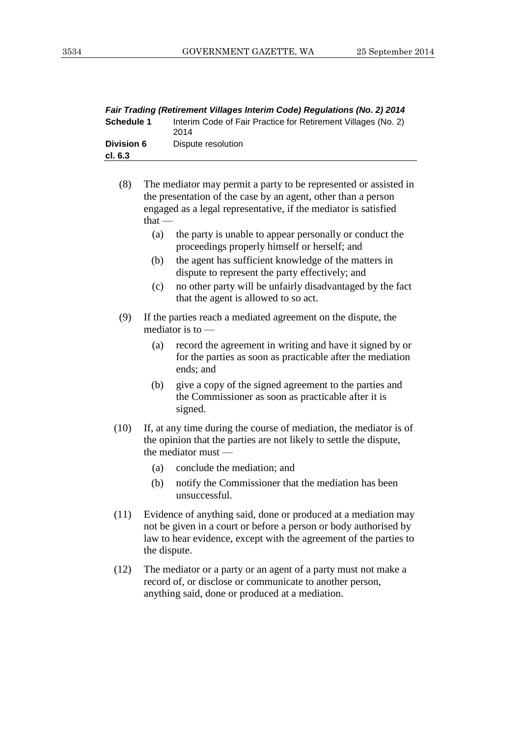| Fair Trading (Retirement Villages Interim Code) Regulations (No. 2) 2014 |                                                                       |  |
|--------------------------------------------------------------------------|-----------------------------------------------------------------------|--|
| <b>Schedule 1</b>                                                        | Interim Code of Fair Practice for Retirement Villages (No. 2)<br>2014 |  |
| <b>Division 6</b><br>cl. 6.3                                             | Dispute resolution                                                    |  |
|                                                                          |                                                                       |  |

(8) The mediator may permit a party to be represented or assisted in the presentation of the case by an agent, other than a person engaged as a legal representative, if the mediator is satisfied that —

- (a) the party is unable to appear personally or conduct the proceedings properly himself or herself; and
- (b) the agent has sufficient knowledge of the matters in dispute to represent the party effectively; and
- (c) no other party will be unfairly disadvantaged by the fact that the agent is allowed to so act.
- (9) If the parties reach a mediated agreement on the dispute, the mediator is to —
	- (a) record the agreement in writing and have it signed by or for the parties as soon as practicable after the mediation ends; and
	- (b) give a copy of the signed agreement to the parties and the Commissioner as soon as practicable after it is signed.
- (10) If, at any time during the course of mediation, the mediator is of the opinion that the parties are not likely to settle the dispute, the mediator must —
	- (a) conclude the mediation; and
	- (b) notify the Commissioner that the mediation has been unsuccessful.
- (11) Evidence of anything said, done or produced at a mediation may not be given in a court or before a person or body authorised by law to hear evidence, except with the agreement of the parties to the dispute.
- (12) The mediator or a party or an agent of a party must not make a record of, or disclose or communicate to another person, anything said, done or produced at a mediation.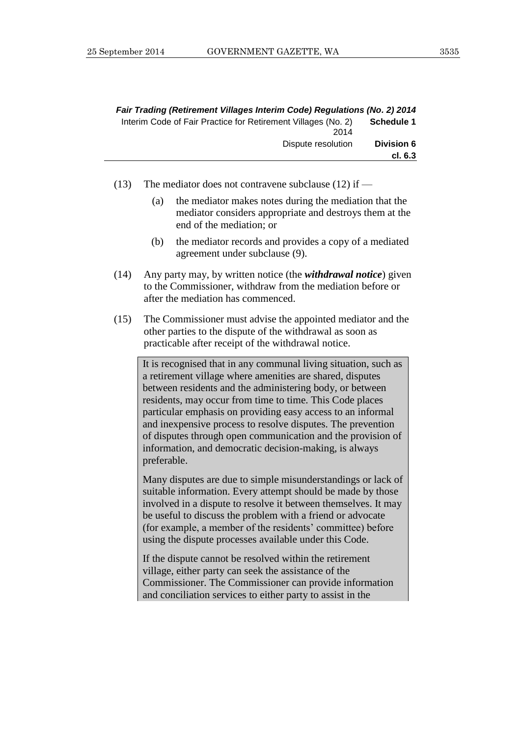|                   | Fair Trading (Retirement Villages Interim Code) Regulations (No. 2) 2014 |
|-------------------|--------------------------------------------------------------------------|
| <b>Schedule 1</b> | Interim Code of Fair Practice for Retirement Villages (No. 2)            |
|                   | 2014                                                                     |
| <b>Division 6</b> | Dispute resolution                                                       |
| cl. 6.3           |                                                                          |

(13) The mediator does not contravene subclause (12) if —

- (a) the mediator makes notes during the mediation that the mediator considers appropriate and destroys them at the end of the mediation; or
- (b) the mediator records and provides a copy of a mediated agreement under subclause (9).
- (14) Any party may, by written notice (the *withdrawal notice*) given to the Commissioner, withdraw from the mediation before or after the mediation has commenced.
- (15) The Commissioner must advise the appointed mediator and the other parties to the dispute of the withdrawal as soon as practicable after receipt of the withdrawal notice.

It is recognised that in any communal living situation, such as a retirement village where amenities are shared, disputes between residents and the administering body, or between residents, may occur from time to time. This Code places particular emphasis on providing easy access to an informal and inexpensive process to resolve disputes. The prevention of disputes through open communication and the provision of information, and democratic decision-making, is always preferable.

Many disputes are due to simple misunderstandings or lack of suitable information. Every attempt should be made by those involved in a dispute to resolve it between themselves. It may be useful to discuss the problem with a friend or advocate (for example, a member of the residents' committee) before using the dispute processes available under this Code.

If the dispute cannot be resolved within the retirement village, either party can seek the assistance of the Commissioner. The Commissioner can provide information and conciliation services to either party to assist in the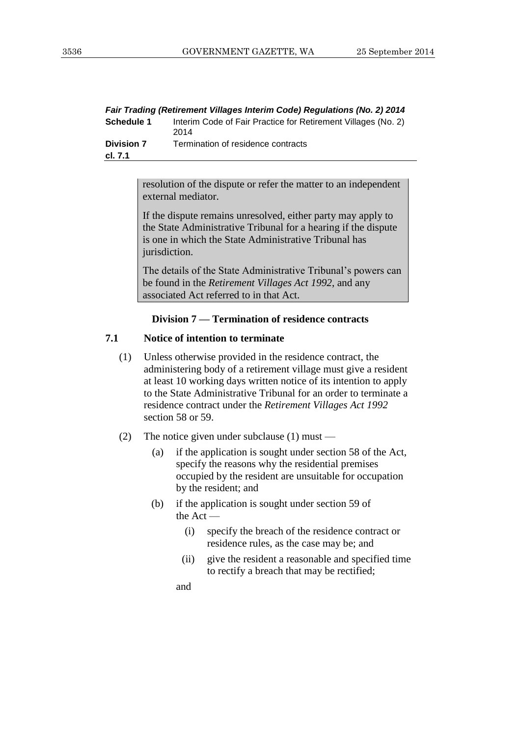| Fair Trading (Retirement Villages Interim Code) Regulations (No. 2) 2014 |                                                                       |  |
|--------------------------------------------------------------------------|-----------------------------------------------------------------------|--|
| Schedule 1                                                               | Interim Code of Fair Practice for Retirement Villages (No. 2)<br>2014 |  |
| <b>Division 7</b><br>cl. 7.1                                             | Termination of residence contracts                                    |  |
|                                                                          |                                                                       |  |

resolution of the dispute or refer the matter to an independent external mediator.

If the dispute remains unresolved, either party may apply to the State Administrative Tribunal for a hearing if the dispute is one in which the State Administrative Tribunal has jurisdiction.

The details of the State Administrative Tribunal's powers can be found in the *Retirement Villages Act 1992*, and any associated Act referred to in that Act.

#### **Division 7 — Termination of residence contracts**

#### **7.1 Notice of intention to terminate**

- (1) Unless otherwise provided in the residence contract, the administering body of a retirement village must give a resident at least 10 working days written notice of its intention to apply to the State Administrative Tribunal for an order to terminate a residence contract under the *Retirement Villages Act 1992* section 58 or 59.
- (2) The notice given under subclause (1) must
	- (a) if the application is sought under section 58 of the Act, specify the reasons why the residential premises occupied by the resident are unsuitable for occupation by the resident; and
	- (b) if the application is sought under section 59 of the Act —
		- (i) specify the breach of the residence contract or residence rules, as the case may be; and
		- (ii) give the resident a reasonable and specified time to rectify a breach that may be rectified;

and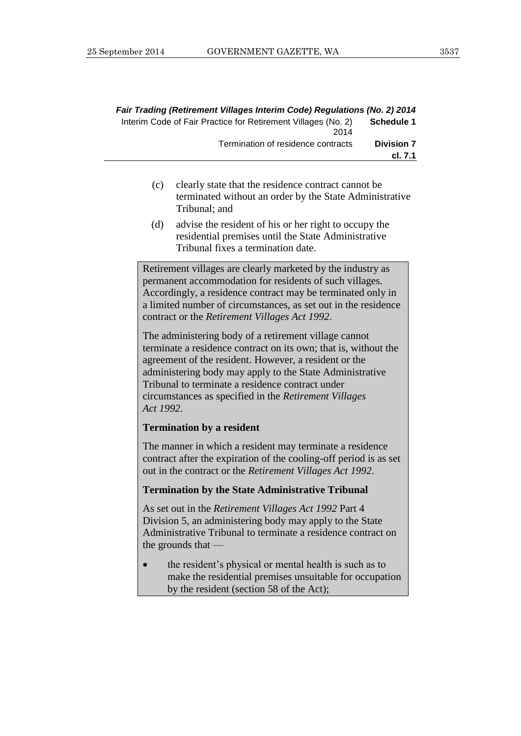|           | Fair Trading (Retirement Villages Interim Code) Regulations (No. 2) 2014<br>Interim Code of Fair Practice for Retirement Villages (No. 2)<br>2014                                                                                                                                                                                                          | <b>Schedule 1</b>            |
|-----------|------------------------------------------------------------------------------------------------------------------------------------------------------------------------------------------------------------------------------------------------------------------------------------------------------------------------------------------------------------|------------------------------|
|           | Termination of residence contracts                                                                                                                                                                                                                                                                                                                         | <b>Division 7</b><br>cl. 7.1 |
| (c)       | clearly state that the residence contract cannot be<br>terminated without an order by the State Administrative<br>Tribunal; and                                                                                                                                                                                                                            |                              |
| (d)       | advise the resident of his or her right to occupy the<br>residential premises until the State Administrative<br>Tribunal fixes a termination date.                                                                                                                                                                                                         |                              |
|           | Retirement villages are clearly marketed by the industry as<br>permanent accommodation for residents of such villages.<br>Accordingly, a residence contract may be terminated only in<br>a limited number of circumstances, as set out in the residence<br>contract or the <i>Retirement Villages Act 1992</i> .                                           |                              |
| Act 1992. | The administering body of a retirement village cannot<br>terminate a residence contract on its own; that is, without the<br>agreement of the resident. However, a resident or the<br>administering body may apply to the State Administrative<br>Tribunal to terminate a residence contract under<br>circumstances as specified in the Retirement Villages |                              |
|           | <b>Termination by a resident</b>                                                                                                                                                                                                                                                                                                                           |                              |

The manner in which a resident may terminate a residence contract after the expiration of the cooling-off period is as set out in the contract or the *Retirement Villages Act 1992*.

#### **Termination by the State Administrative Tribunal**

As set out in the *Retirement Villages Act 1992* Part 4 Division 5, an administering body may apply to the State Administrative Tribunal to terminate a residence contract on the grounds that —

• the resident's physical or mental health is such as to make the residential premises unsuitable for occupation by the resident (section 58 of the Act);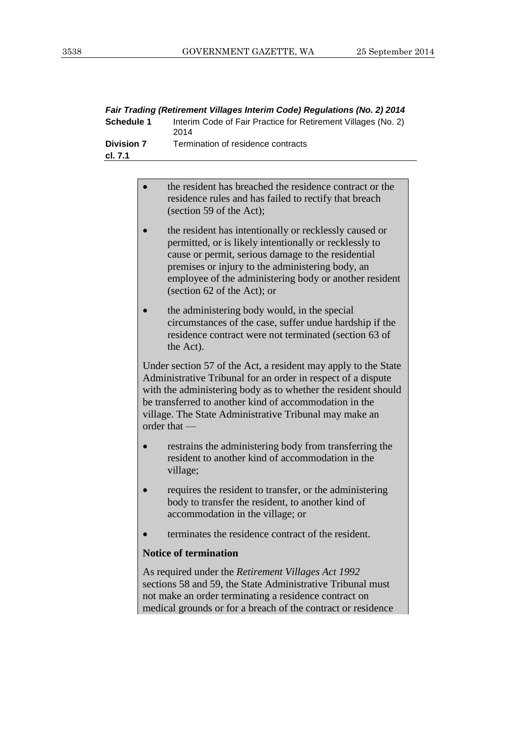| Fair Trading (Retirement Villages Interim Code) Regulations (No. 2) 2014 |                                                                                                                                                                                                                                                                                                                                     |
|--------------------------------------------------------------------------|-------------------------------------------------------------------------------------------------------------------------------------------------------------------------------------------------------------------------------------------------------------------------------------------------------------------------------------|
| <b>Schedule 1</b>                                                        | Interim Code of Fair Practice for Retirement Villages (No. 2)<br>2014                                                                                                                                                                                                                                                               |
| <b>Division 7</b>                                                        | Termination of residence contracts                                                                                                                                                                                                                                                                                                  |
| cl. 7.1                                                                  |                                                                                                                                                                                                                                                                                                                                     |
|                                                                          |                                                                                                                                                                                                                                                                                                                                     |
|                                                                          | the resident has breached the residence contract or the<br>residence rules and has failed to rectify that breach<br>(section 59 of the Act);                                                                                                                                                                                        |
|                                                                          | the resident has intentionally or recklessly caused or<br>permitted, or is likely intentionally or recklessly to<br>cause or permit, serious damage to the residential<br>premises or injury to the administering body, an<br>employee of the administering body or another resident<br>(section 62 of the Act); or                 |
|                                                                          | the administering body would, in the special<br>circumstances of the case, suffer undue hardship if the<br>residence contract were not terminated (section 63 of<br>the Act).                                                                                                                                                       |
|                                                                          | Under section 57 of the Act, a resident may apply to the State<br>Administrative Tribunal for an order in respect of a dispute<br>with the administering body as to whether the resident should<br>be transferred to another kind of accommodation in the<br>village. The State Administrative Tribunal may make an<br>order that - |

- restrains the administering body from transferring the resident to another kind of accommodation in the village;
- requires the resident to transfer, or the administering body to transfer the resident, to another kind of accommodation in the village; or
- terminates the residence contract of the resident.

#### **Notice of termination**

As required under the *Retirement Villages Act 1992* sections 58 and 59, the State Administrative Tribunal must not make an order terminating a residence contract on medical grounds or for a breach of the contract or residence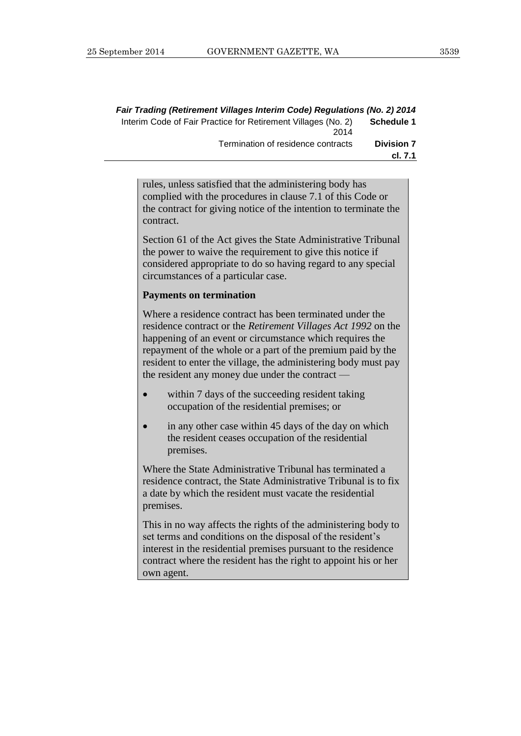|                   | Fair Trading (Retirement Villages Interim Code) Regulations (No. 2) 2014 |
|-------------------|--------------------------------------------------------------------------|
| Schedule 1        | Interim Code of Fair Practice for Retirement Villages (No. 2)<br>2014    |
| <b>Division 7</b> | Termination of residence contracts                                       |
| cl. 7.1           |                                                                          |

rules, unless satisfied that the administering body has complied with the procedures in clause 7.1 of this Code or the contract for giving notice of the intention to terminate the contract.

Section 61 of the Act gives the State Administrative Tribunal the power to waive the requirement to give this notice if considered appropriate to do so having regard to any special circumstances of a particular case.

#### **Payments on termination**

Where a residence contract has been terminated under the residence contract or the *Retirement Villages Act 1992* on the happening of an event or circumstance which requires the repayment of the whole or a part of the premium paid by the resident to enter the village, the administering body must pay the resident any money due under the contract —

- within 7 days of the succeeding resident taking occupation of the residential premises; or
- in any other case within 45 days of the day on which the resident ceases occupation of the residential premises.

Where the State Administrative Tribunal has terminated a residence contract, the State Administrative Tribunal is to fix a date by which the resident must vacate the residential premises.

This in no way affects the rights of the administering body to set terms and conditions on the disposal of the resident's interest in the residential premises pursuant to the residence contract where the resident has the right to appoint his or her own agent.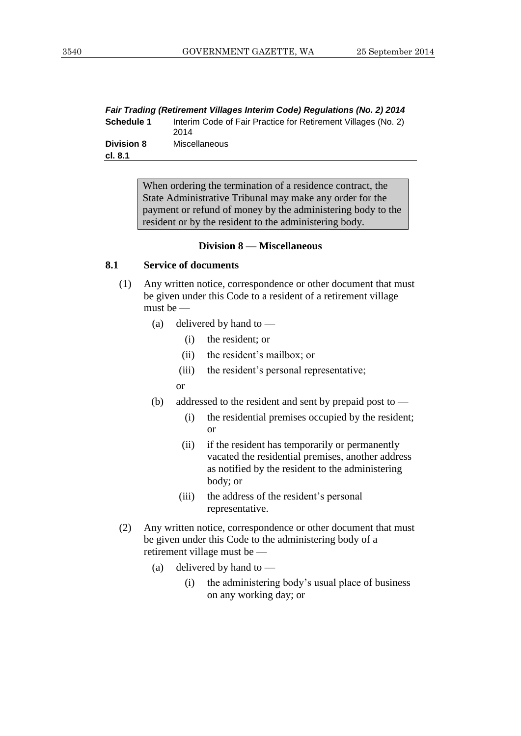| Fair Trading (Retirement Villages Interim Code) Regulations (No. 2) 2014 |                                                                       |  |
|--------------------------------------------------------------------------|-----------------------------------------------------------------------|--|
| Schedule 1                                                               | Interim Code of Fair Practice for Retirement Villages (No. 2)<br>2014 |  |
| <b>Division 8</b><br>cl. 8.1                                             | Miscellaneous                                                         |  |
|                                                                          |                                                                       |  |

When ordering the termination of a residence contract, the State Administrative Tribunal may make any order for the payment or refund of money by the administering body to the resident or by the resident to the administering body.

#### **Division 8 — Miscellaneous**

#### **8.1 Service of documents**

- (1) Any written notice, correspondence or other document that must be given under this Code to a resident of a retirement village must be —
	- (a) delivered by hand to
		- (i) the resident; or
		- (ii) the resident's mailbox; or
		- (iii) the resident's personal representative;
		- or
	- (b) addressed to the resident and sent by prepaid post to
		- (i) the residential premises occupied by the resident; or
		- (ii) if the resident has temporarily or permanently vacated the residential premises, another address as notified by the resident to the administering body; or
		- (iii) the address of the resident's personal representative.
- (2) Any written notice, correspondence or other document that must be given under this Code to the administering body of a retirement village must be —
	- (a) delivered by hand to  $\equiv$ 
		- (i) the administering body's usual place of business on any working day; or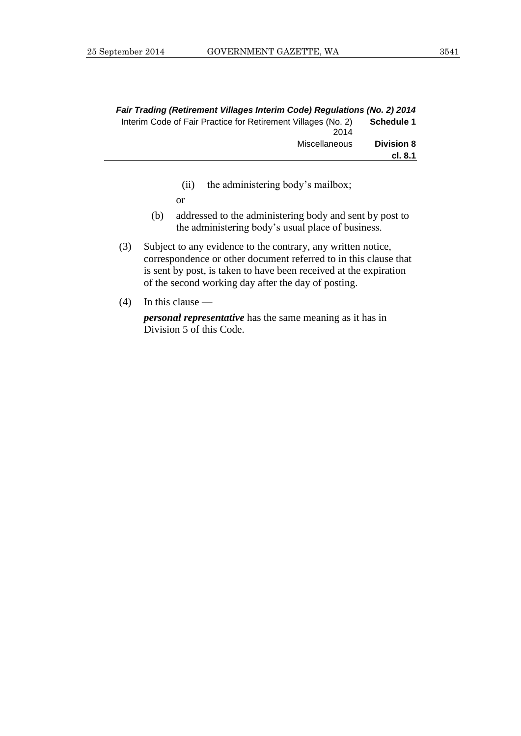|                   | Fair Trading (Retirement Villages Interim Code) Regulations (No. 2) 2014 |
|-------------------|--------------------------------------------------------------------------|
| Schedule 1        | Interim Code of Fair Practice for Retirement Villages (No. 2)<br>2014    |
| <b>Division 8</b> | Miscellaneous                                                            |
| cl. 8.1           |                                                                          |

- (ii) the administering body's mailbox;
- or
- (b) addressed to the administering body and sent by post to the administering body's usual place of business.
- (3) Subject to any evidence to the contrary, any written notice, correspondence or other document referred to in this clause that is sent by post, is taken to have been received at the expiration of the second working day after the day of posting.
- (4) In this clause —

*personal representative* has the same meaning as it has in Division 5 of this Code.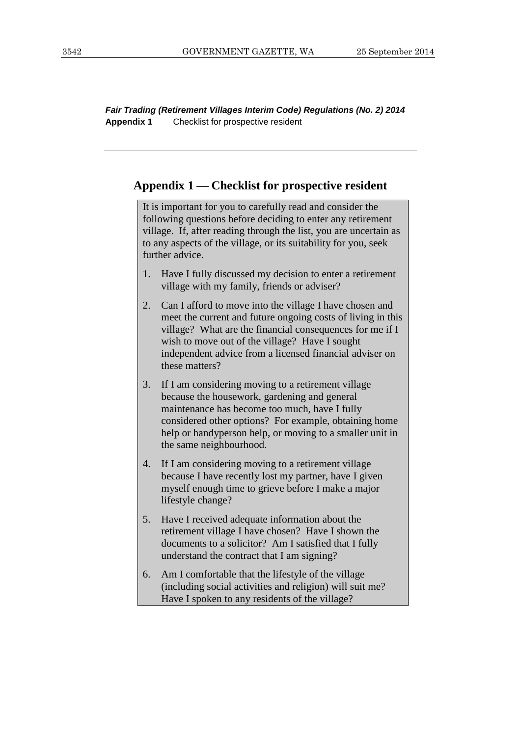*Fair Trading (Retirement Villages Interim Code) Regulations (No. 2) 2014* **Appendix 1** Checklist for prospective resident

#### **Appendix 1 — Checklist for prospective resident**

It is important for you to carefully read and consider the following questions before deciding to enter any retirement village. If, after reading through the list, you are uncertain as to any aspects of the village, or its suitability for you, seek further advice.

- 1. Have I fully discussed my decision to enter a retirement village with my family, friends or adviser?
- 2. Can I afford to move into the village I have chosen and meet the current and future ongoing costs of living in this village? What are the financial consequences for me if I wish to move out of the village? Have I sought independent advice from a licensed financial adviser on these matters?
- 3. If I am considering moving to a retirement village because the housework, gardening and general maintenance has become too much, have I fully considered other options? For example, obtaining home help or handyperson help, or moving to a smaller unit in the same neighbourhood.
- 4. If I am considering moving to a retirement village because I have recently lost my partner, have I given myself enough time to grieve before I make a major lifestyle change?
- 5. Have I received adequate information about the retirement village I have chosen? Have I shown the documents to a solicitor? Am I satisfied that I fully understand the contract that I am signing?
- 6. Am I comfortable that the lifestyle of the village (including social activities and religion) will suit me? Have I spoken to any residents of the village?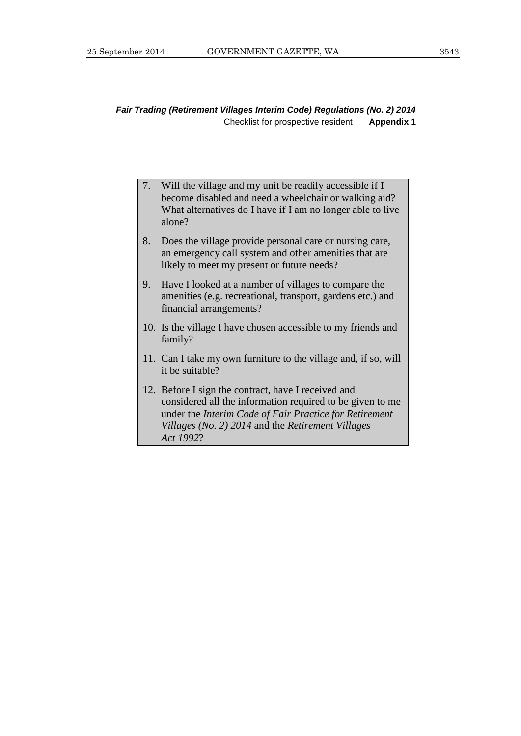#### *Fair Trading (Retirement Villages Interim Code) Regulations (No. 2) 2014* Checklist for prospective resident **Appendix 1**

- 7. Will the village and my unit be readily accessible if I become disabled and need a wheelchair or walking aid? What alternatives do I have if I am no longer able to live alone?
- 8. Does the village provide personal care or nursing care, an emergency call system and other amenities that are likely to meet my present or future needs?
- 9. Have I looked at a number of villages to compare the amenities (e.g. recreational, transport, gardens etc.) and financial arrangements?
- 10. Is the village I have chosen accessible to my friends and family?
- 11. Can I take my own furniture to the village and, if so, will it be suitable?
- 12. Before I sign the contract, have I received and considered all the information required to be given to me under the *Interim Code of Fair Practice for Retirement Villages (No. 2) 2014* and the *Retirement Villages Act 1992*?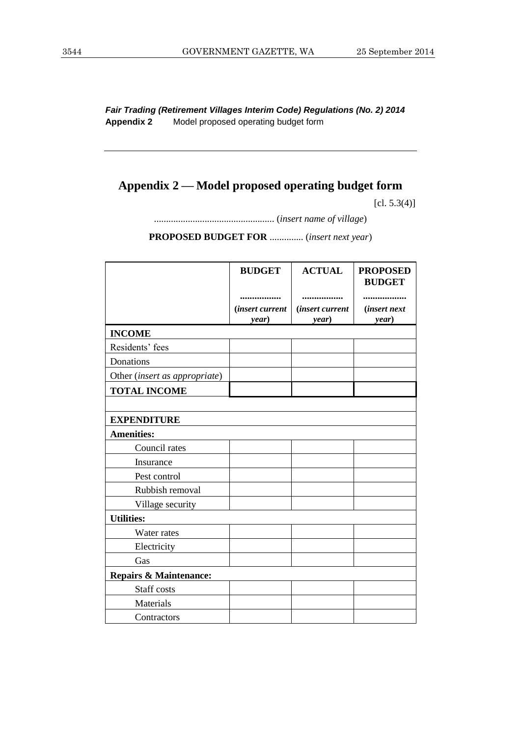*Fair Trading (Retirement Villages Interim Code) Regulations (No. 2) 2014* **Appendix 2** Model proposed operating budget form

# **Appendix 2 — Model proposed operating budget form**

 $[cl. 5.3(4)]$ 

.................................................. (*insert name of village*)

**PROPOSED BUDGET FOR** .............. (*insert next year*)

|                                   | <b>BUDGET</b>                         | <b>ACTUAL</b>                   | <b>PROPOSED</b><br><b>BUDGET</b> |
|-----------------------------------|---------------------------------------|---------------------------------|----------------------------------|
|                                   | <br><i>(insert current</i> )<br>year) | <i>(insert current</i><br>year) | <i>(insert next)</i><br>year)    |
| <b>INCOME</b>                     |                                       |                                 |                                  |
| Residents' fees                   |                                       |                                 |                                  |
| Donations                         |                                       |                                 |                                  |
| Other (insert as appropriate)     |                                       |                                 |                                  |
| <b>TOTAL INCOME</b>               |                                       |                                 |                                  |
|                                   |                                       |                                 |                                  |
| <b>EXPENDITURE</b>                |                                       |                                 |                                  |
| <b>Amenities:</b>                 |                                       |                                 |                                  |
| Council rates                     |                                       |                                 |                                  |
| Insurance                         |                                       |                                 |                                  |
| Pest control                      |                                       |                                 |                                  |
| Rubbish removal                   |                                       |                                 |                                  |
| Village security                  |                                       |                                 |                                  |
| <b>Utilities:</b>                 |                                       |                                 |                                  |
| Water rates                       |                                       |                                 |                                  |
| Electricity                       |                                       |                                 |                                  |
| Gas                               |                                       |                                 |                                  |
| <b>Repairs &amp; Maintenance:</b> |                                       |                                 |                                  |
| Staff costs                       |                                       |                                 |                                  |
| Materials                         |                                       |                                 |                                  |
| Contractors                       |                                       |                                 |                                  |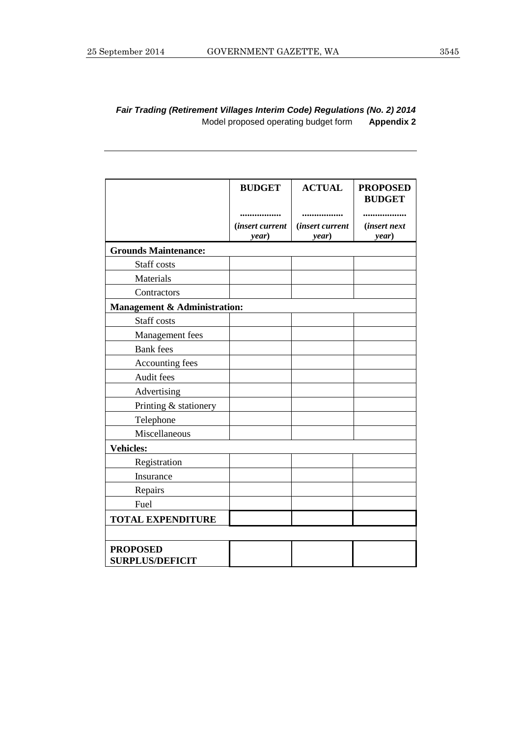#### *Fair Trading (Retirement Villages Interim Code) Regulations (No. 2) 2014* Model proposed operating budget form **Appendix 2**

|                                           | <b>BUDGET</b>                   | <b>ACTUAL</b>                   | <b>PROPOSED</b><br><b>BUDGET</b> |
|-------------------------------------------|---------------------------------|---------------------------------|----------------------------------|
|                                           |                                 |                                 |                                  |
|                                           | <i>(insert current</i><br>year) | <i>(insert current</i><br>year) | <i>(insert next</i><br>year)     |
| <b>Grounds Maintenance:</b>               |                                 |                                 |                                  |
| Staff costs                               |                                 |                                 |                                  |
| Materials                                 |                                 |                                 |                                  |
| Contractors                               |                                 |                                 |                                  |
| <b>Management &amp; Administration:</b>   |                                 |                                 |                                  |
| Staff costs                               |                                 |                                 |                                  |
| Management fees                           |                                 |                                 |                                  |
| <b>Bank</b> fees                          |                                 |                                 |                                  |
| Accounting fees                           |                                 |                                 |                                  |
| Audit fees                                |                                 |                                 |                                  |
| Advertising                               |                                 |                                 |                                  |
| Printing & stationery                     |                                 |                                 |                                  |
| Telephone                                 |                                 |                                 |                                  |
| Miscellaneous                             |                                 |                                 |                                  |
| <b>Vehicles:</b>                          |                                 |                                 |                                  |
| Registration                              |                                 |                                 |                                  |
| Insurance                                 |                                 |                                 |                                  |
| Repairs                                   |                                 |                                 |                                  |
| Fuel                                      |                                 |                                 |                                  |
| <b>TOTAL EXPENDITURE</b>                  |                                 |                                 |                                  |
|                                           |                                 |                                 |                                  |
| <b>PROPOSED</b><br><b>SURPLUS/DEFICIT</b> |                                 |                                 |                                  |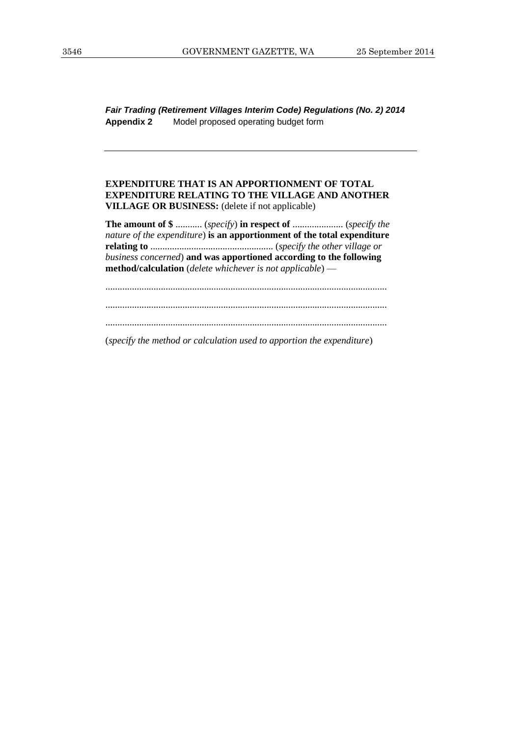*Fair Trading (Retirement Villages Interim Code) Regulations (No. 2) 2014* **Appendix 2** Model proposed operating budget form

#### **EXPENDITURE THAT IS AN APPORTIONMENT OF TOTAL EXPENDITURE RELATING TO THE VILLAGE AND ANOTHER VILLAGE OR BUSINESS:** (delete if not applicable)

**The amount of \$** ........... (*specify*) **in respect of** ..................... (*specify the nature of the expenditure*) **is an apportionment of the total expenditure relating to** ................................................... (*specify the other village or business concerned*) **and was apportioned according to the following method/calculation** (*delete whichever is not applicable*) —

.....................................................................................................................

.....................................................................................................................

.....................................................................................................................

(*specify the method or calculation used to apportion the expenditure*)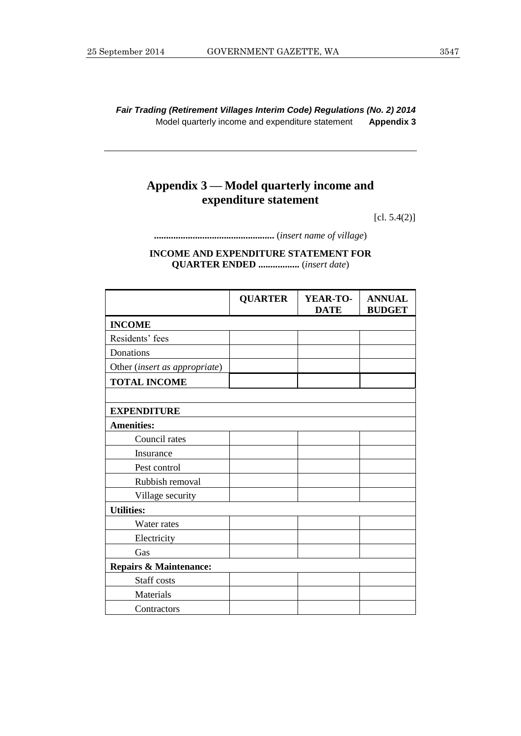*Fair Trading (Retirement Villages Interim Code) Regulations (No. 2) 2014* Model quarterly income and expenditure statement **Appendix 3**

# **Appendix 3 — Model quarterly income and expenditure statement**

[cl. 5.4(2)]

**..................................................** (*insert name of village*)

**INCOME AND EXPENDITURE STATEMENT FOR QUARTER ENDED .................** (*insert date*)

|                                   | <b>QUARTER</b> | YEAR-TO-<br><b>DATE</b> | <b>ANNUAL</b><br><b>BUDGET</b> |
|-----------------------------------|----------------|-------------------------|--------------------------------|
| <b>INCOME</b>                     |                |                         |                                |
| Residents' fees                   |                |                         |                                |
| Donations                         |                |                         |                                |
| Other (insert as appropriate)     |                |                         |                                |
| <b>TOTAL INCOME</b>               |                |                         |                                |
|                                   |                |                         |                                |
| <b>EXPENDITURE</b>                |                |                         |                                |
| <b>Amenities:</b>                 |                |                         |                                |
| Council rates                     |                |                         |                                |
| Insurance                         |                |                         |                                |
| Pest control                      |                |                         |                                |
| Rubbish removal                   |                |                         |                                |
| Village security                  |                |                         |                                |
| <b>Utilities:</b>                 |                |                         |                                |
| Water rates                       |                |                         |                                |
| Electricity                       |                |                         |                                |
| Gas                               |                |                         |                                |
| <b>Repairs &amp; Maintenance:</b> |                |                         |                                |
| Staff costs                       |                |                         |                                |
| Materials                         |                |                         |                                |
| Contractors                       |                |                         |                                |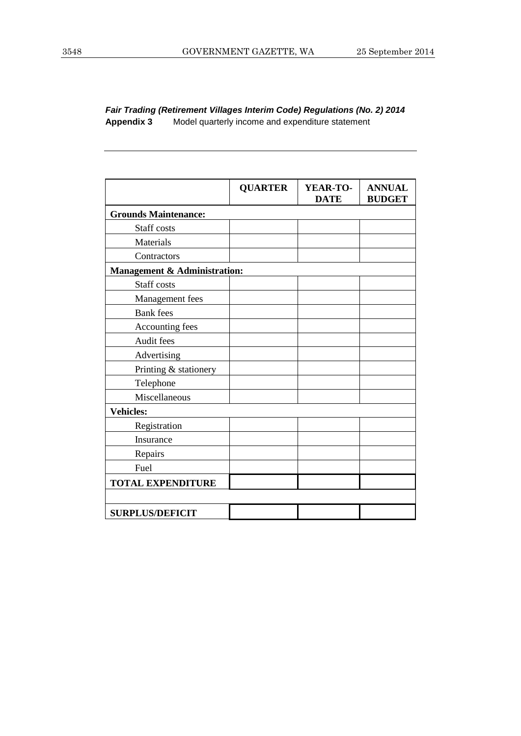*Fair Trading (Retirement Villages Interim Code) Regulations (No. 2) 2014* **Appendix 3** Model quarterly income and expenditure statement

|                              | <b>QUARTER</b> | YEAR-TO-<br><b>DATE</b> | <b>ANNUAL</b><br><b>BUDGET</b> |
|------------------------------|----------------|-------------------------|--------------------------------|
| <b>Grounds Maintenance:</b>  |                |                         |                                |
| Staff costs                  |                |                         |                                |
| Materials                    |                |                         |                                |
| Contractors                  |                |                         |                                |
| Management & Administration: |                |                         |                                |
| Staff costs                  |                |                         |                                |
| Management fees              |                |                         |                                |
| <b>Bank</b> fees             |                |                         |                                |
| Accounting fees              |                |                         |                                |
| Audit fees                   |                |                         |                                |
| Advertising                  |                |                         |                                |
| Printing & stationery        |                |                         |                                |
| Telephone                    |                |                         |                                |
| Miscellaneous                |                |                         |                                |
| <b>Vehicles:</b>             |                |                         |                                |
| Registration                 |                |                         |                                |
| Insurance                    |                |                         |                                |
| Repairs                      |                |                         |                                |
| Fuel                         |                |                         |                                |
| <b>TOTAL EXPENDITURE</b>     |                |                         |                                |
|                              |                |                         |                                |
| <b>SURPLUS/DEFICIT</b>       |                |                         |                                |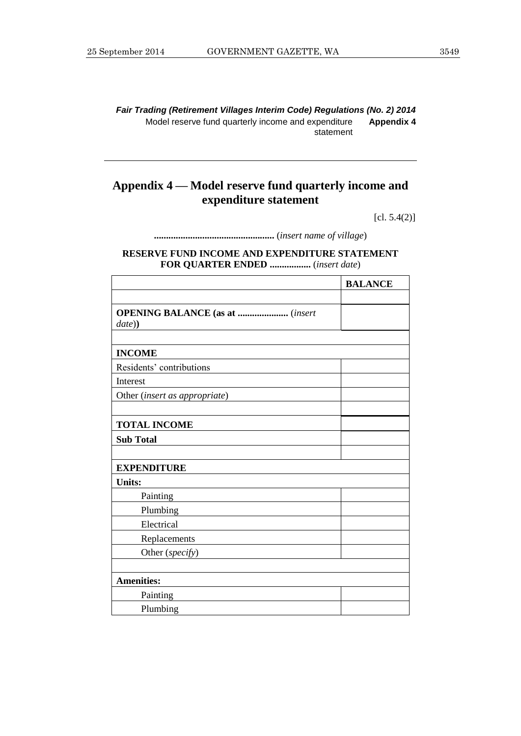*Fair Trading (Retirement Villages Interim Code) Regulations (No. 2) 2014* Model reserve fund quarterly income and expenditure statement **Appendix 4**

# **Appendix 4 — Model reserve fund quarterly income and expenditure statement**

[cl. 5.4(2)]

**..................................................** (*insert name of village*)

#### **RESERVE FUND INCOME AND EXPENDITURE STATEMENT FOR QUARTER ENDED .................** (*insert date*)

|                                        | <b>BALANCE</b> |
|----------------------------------------|----------------|
|                                        |                |
| <b>OPENING BALANCE</b> (as at  (insert |                |
| date))                                 |                |
|                                        |                |
| <b>INCOME</b>                          |                |
| Residents' contributions               |                |
| Interest                               |                |
| Other (insert as appropriate)          |                |
|                                        |                |
| <b>TOTAL INCOME</b>                    |                |
| <b>Sub Total</b>                       |                |
|                                        |                |
| <b>EXPENDITURE</b>                     |                |
| <b>Units:</b>                          |                |
| Painting                               |                |
| Plumbing                               |                |
| Electrical                             |                |
| Replacements                           |                |
| Other (specify)                        |                |
|                                        |                |
| <b>Amenities:</b>                      |                |
| Painting                               |                |
| Plumbing                               |                |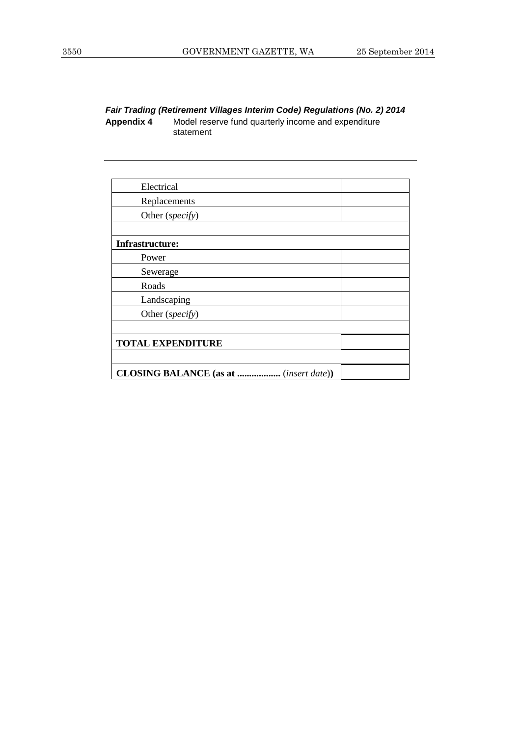*Fair Trading (Retirement Villages Interim Code) Regulations (No. 2) 2014* **Appendix 4** Model reserve fund quarterly income and expenditure statement

| Electrical                                               |  |
|----------------------------------------------------------|--|
| Replacements                                             |  |
| Other (specify)                                          |  |
|                                                          |  |
| <b>Infrastructure:</b>                                   |  |
| Power                                                    |  |
| Sewerage                                                 |  |
| Roads                                                    |  |
| Landscaping                                              |  |
| Other (specify)                                          |  |
|                                                          |  |
| <b>TOTAL EXPENDITURE</b>                                 |  |
|                                                          |  |
| <b>CLOSING BALANCE</b> (as at<br>( <i>insert date</i> )) |  |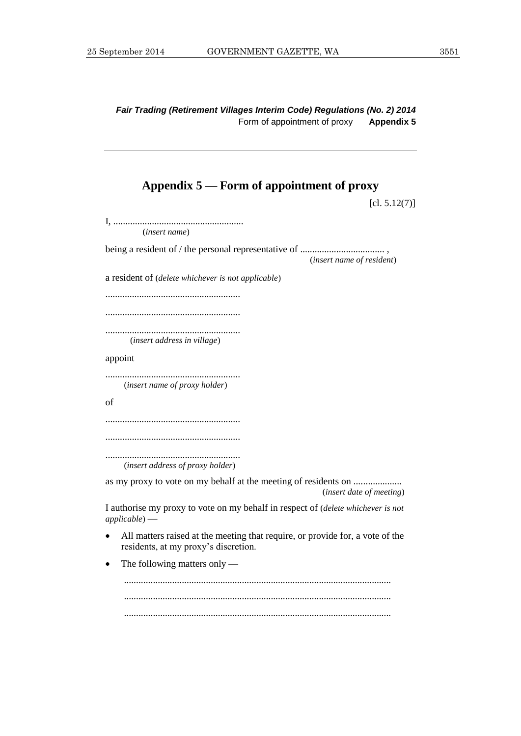*Fair Trading (Retirement Villages Interim Code) Regulations (No. 2) 2014* Form of appointment of proxy **Appendix 5**

#### **Appendix 5 — Form of appointment of proxy**

 $[cl. 5.12(7)]$ 

I, ...................................................... (*insert name*) being a resident of / the personal representative of ................................... , (*insert name of resident*) a resident of (*delete whichever is not applicable*) ........................................................ ........................................................ ........................................................ (*insert address in village*) appoint ........................................................ (*insert name of proxy holder*) of ........................................................ ........................................................ ........................................................ (*insert address of proxy holder*) as my proxy to vote on my behalf at the meeting of residents on ..................... (*insert date of meeting*) I authorise my proxy to vote on my behalf in respect of (*delete whichever is not applicable*) — All matters raised at the meeting that require, or provide for, a vote of the residents, at my proxy's discretion. • The following matters only — ............................................................................................................... ............................................................................................................... ...............................................................................................................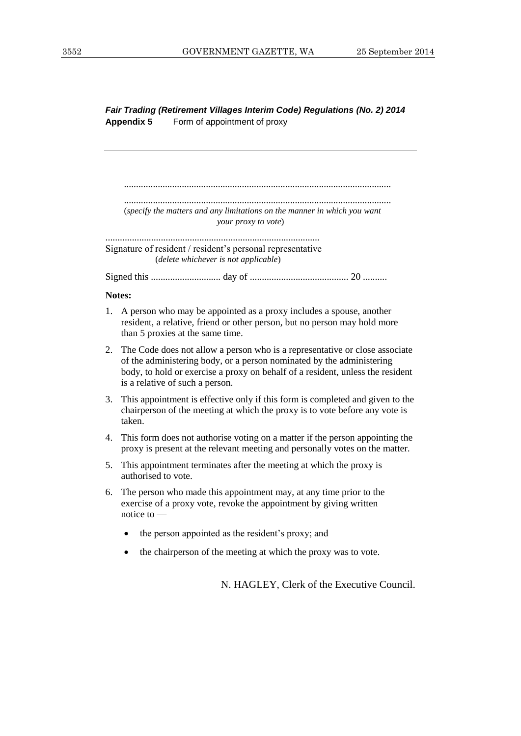*Fair Trading (Retirement Villages Interim Code) Regulations (No. 2) 2014* **Appendix 5** Form of appointment of proxy

............................................................................................................... ............................................................................................................... (*specify the matters and any limitations on the manner in which you want your proxy to vote*) .........................................................................................

Signature of resident / resident's personal representative (*delete whichever is not applicable*)

Signed this ............................. day of ......................................... 20 ..........

#### **Notes:**

- 1. A person who may be appointed as a proxy includes a spouse, another resident, a relative, friend or other person, but no person may hold more than 5 proxies at the same time.
- 2. The Code does not allow a person who is a representative or close associate of the administering body, or a person nominated by the administering body, to hold or exercise a proxy on behalf of a resident, unless the resident is a relative of such a person.
- 3. This appointment is effective only if this form is completed and given to the chairperson of the meeting at which the proxy is to vote before any vote is taken.
- 4. This form does not authorise voting on a matter if the person appointing the proxy is present at the relevant meeting and personally votes on the matter.
- 5. This appointment terminates after the meeting at which the proxy is authorised to vote.
- 6. The person who made this appointment may, at any time prior to the exercise of a proxy vote, revoke the appointment by giving written notice to
	- the person appointed as the resident's proxy; and
	- the chairperson of the meeting at which the proxy was to vote.

N. HAGLEY, Clerk of the Executive Council.